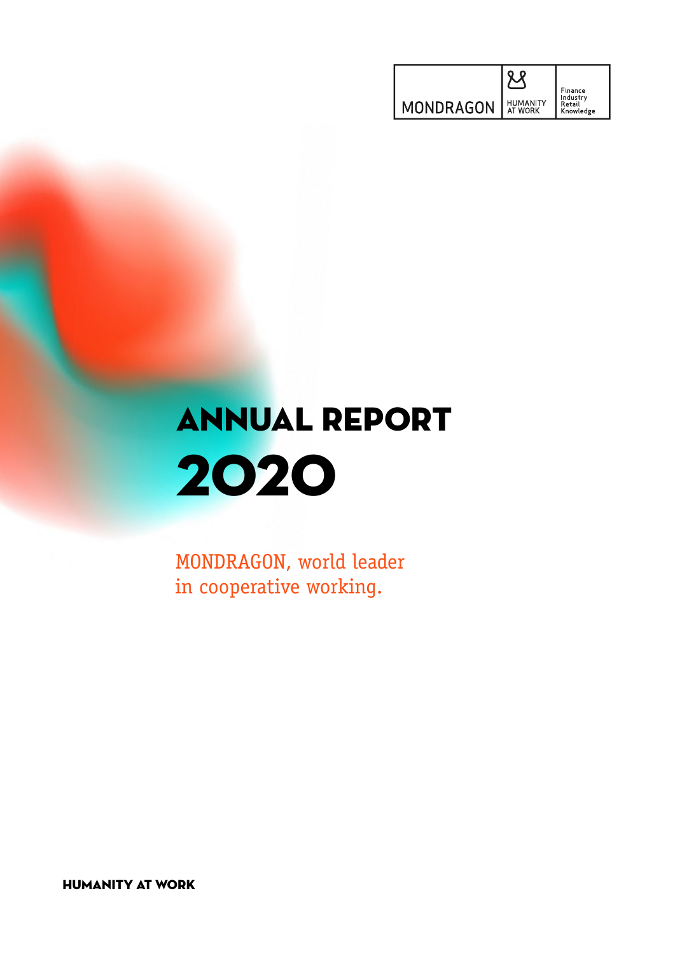|           |                                   | Finance                         |
|-----------|-----------------------------------|---------------------------------|
| MONDRAGON | <b>HUMANITY</b><br><b>AT WORK</b> | Industry<br>Retail<br>Knowledge |

# ANNUAL REPORT 2020

MONDRAGON, world leader in cooperative working.

HUMANITY AT WORK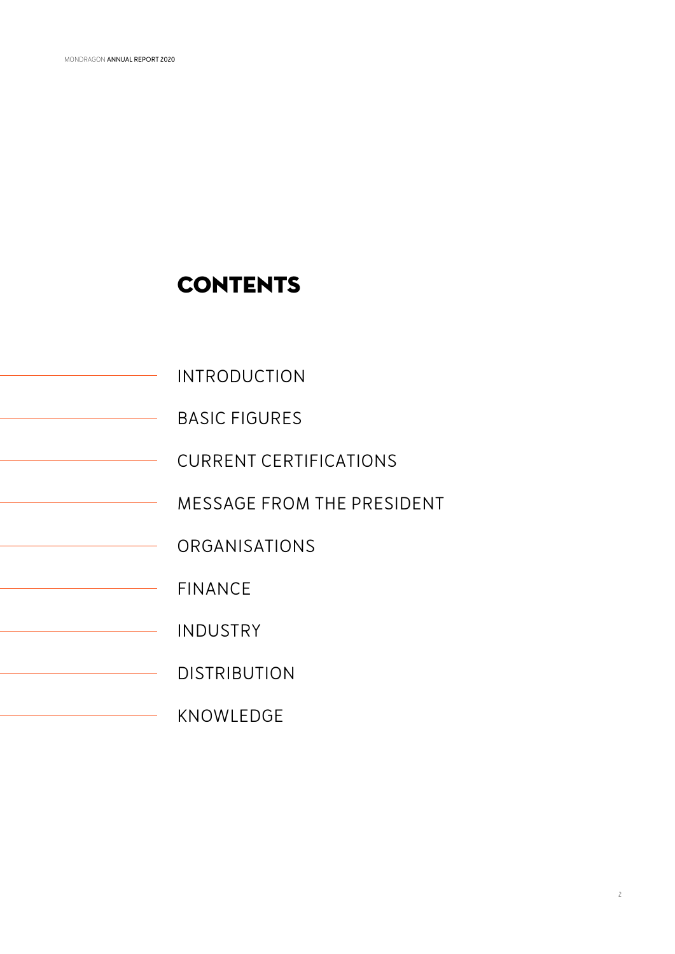## **CONTENTS**

- INTRODUCTION
- BASIC FIGURES  $\overline{\phantom{0}}$
- CURRENT CERTIFICATIONS  $\overline{\phantom{0}}$ 
	- MESSAGE FROM THE PRESIDENT  $\overline{\phantom{0}}$
	- ORGANISATIONS
- FINANCE  $\overline{\phantom{0}}$ 
	- INDUSTRY  $\overline{\phantom{0}}$ 
		- DISTRIBUTION
		- KNOWLEDGE  $\overline{\phantom{a}}$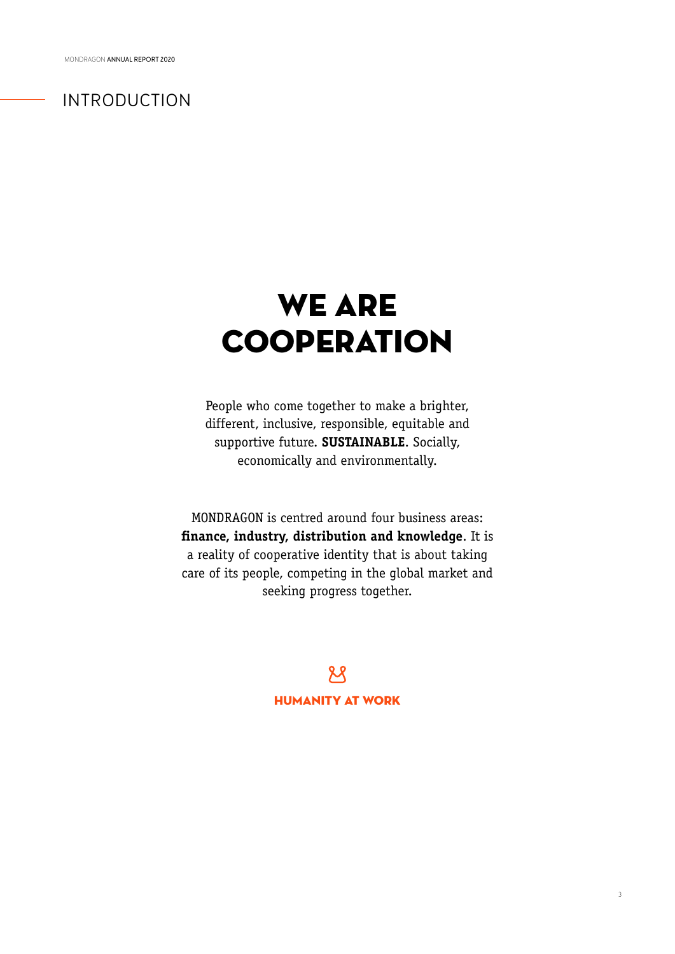## INTRODUCTION

# WE ARE **COOPERATION**

People who come together to make a brighter, different, inclusive, responsible, equitable and supportive future. **SUSTAINABLE**. Socially, economically and environmentally.

MONDRAGON is centred around four business areas: **finance, industry, distribution and knowledge**. It is a reality of cooperative identity that is about taking care of its people, competing in the global market and seeking progress together.

> $R$ HUMANITY AT WORK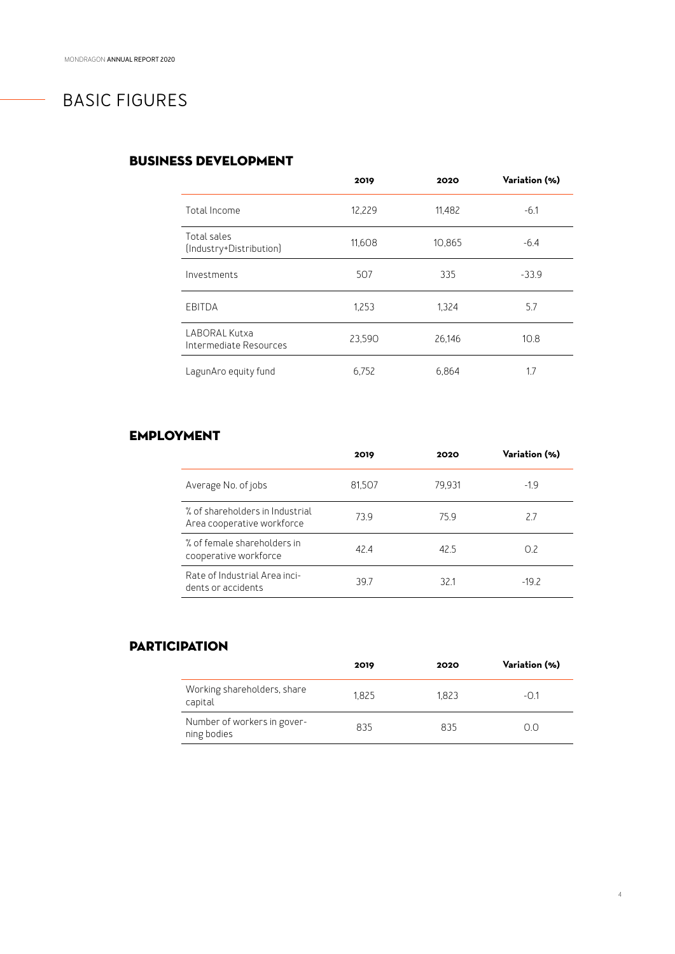## BASIC FIGURES

### BUSINESS DEVELOPMENT

|                                         | 2019   | 2020   | Variation (%) |
|-----------------------------------------|--------|--------|---------------|
| Total Income                            | 12,229 | 11,482 | $-6.1$        |
| Total sales<br>(Industry+Distribution)  | 11,608 | 10,865 | $-6.4$        |
| Investments                             | 507    | 335    | $-33.9$       |
| EBITDA                                  | 1,253  | 1.324  | 5.7           |
| LABORAL Kutxa<br>Intermediate Resources | 23,590 | 26,146 | 10.8          |
| LagunAro equity fund                    | 6.752  | 6.864  | 1.7           |

### EMPLOYMENT

|                                                               | 2019   | 2020   | Variation (%) |
|---------------------------------------------------------------|--------|--------|---------------|
| Average No. of jobs                                           | 81,507 | 79.931 | $-1.9$        |
| % of shareholders in Industrial<br>Area cooperative workforce | 739    | 75.9   | 2.7           |
| % of female shareholders in<br>cooperative workforce          | 424    | 42.5   | 0.2           |
| Rate of Industrial Area inci-<br>dents or accidents           | 397    | 321    | $-19.2$       |

### **PARTICIPATION**

|                                            | 2019  | 2020  | Variation (%) |
|--------------------------------------------|-------|-------|---------------|
| Working shareholders, share<br>capital     | 1.825 | 1.823 | $-01$         |
| Number of workers in gover-<br>ning bodies | 835   | 835   | O.O           |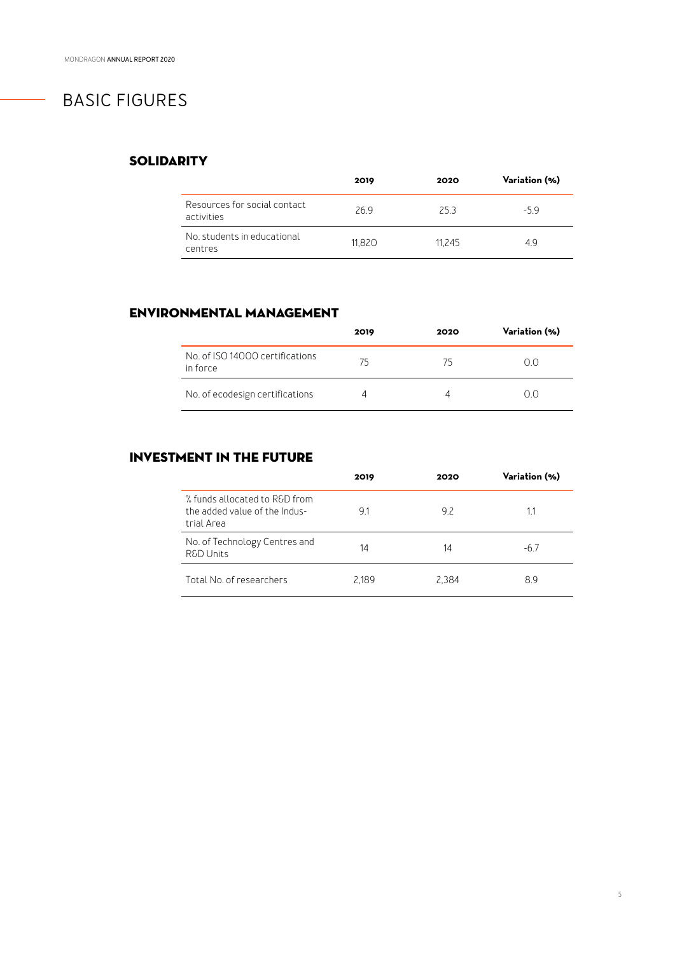## BASIC FIGURES

### **SOLIDARITY**

|                                             | 2019   | 2020   | Variation (%) |
|---------------------------------------------|--------|--------|---------------|
| Resources for social contact.<br>activities | 269    | 25 3   | $-59$         |
| No students in educational<br>centres       | 11.820 | 11.245 | 49            |

### ENVIRONMENTAL MANAGEMENT

|                                             | 2019 | 2020 | Variation (%) |
|---------------------------------------------|------|------|---------------|
| No. of ISO 14000 certifications<br>in force | 75   | 75   | ( ) ( )       |
| No. of ecodesign certifications             | ⊿    | Δ    | ( ) ( )       |

### INVESTMENT IN THE FUTURE

|                                                                              | 2019  | 2020  | Variation (%) |
|------------------------------------------------------------------------------|-------|-------|---------------|
| % funds allocated to R&D from<br>the added value of the Indus-<br>trial Area | 91    | 92    | 1.1           |
| No. of Technology Centres and<br><b>R&amp;D Units</b>                        | 14    | 14    | -67           |
| Total No of researchers                                                      | 2.189 | 2.384 | 89            |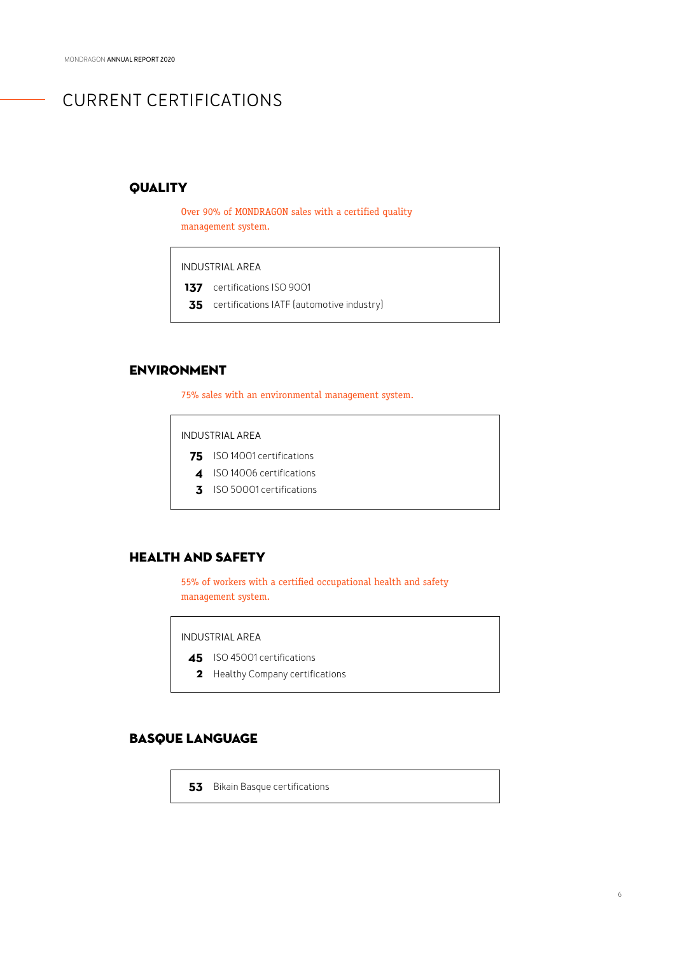## CURRENT CERTIFICATIONS

### **QUALITY**

Over 90% of MONDRAGON sales with a certified quality management system.

INDUSTRIAL AREA

137 certifications ISO 9001

certifications IATF (automotive industry) **35**

### ENVIRONMENT

75% sales with an environmental management system.

INDUSTRIAL AREA

- 75 **ISO 14001** certifications
- 4 ISO 14006 certifications
- **3** ISO 50001 certifications

### HEALTH AND SAFETY

55% of workers with a certified occupational health and safety management system.

INDUSTRIAL AREA

- 45 ISO 45001 certifications
- 2 Healthy Company certifications

### BASQUE LANGUAGE

**53** Bikain Basque certifications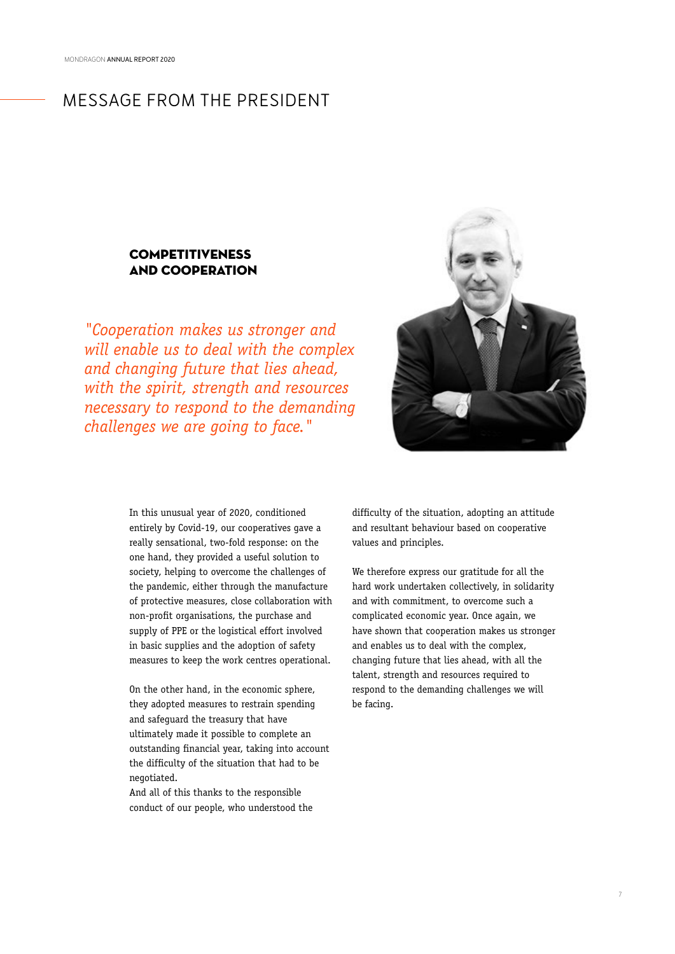### MESSAGE FROM THE PRESIDENT

### COMPETITIVENESS AND COOPERATION

*"Cooperation makes us stronger and will enable us to deal with the complex and changing future that lies ahead, with the spirit, strength and resources necessary to respond to the demanding challenges we are going to face."*



In this unusual year of 2020, conditioned entirely by Covid-19, our cooperatives gave a really sensational, two-fold response: on the one hand, they provided a useful solution to society, helping to overcome the challenges of the pandemic, either through the manufacture of protective measures, close collaboration with non-profit organisations, the purchase and supply of PPE or the logistical effort involved in basic supplies and the adoption of safety measures to keep the work centres operational.

On the other hand, in the economic sphere, they adopted measures to restrain spending and safeguard the treasury that have ultimately made it possible to complete an outstanding financial year, taking into account the difficulty of the situation that had to be negotiated.

And all of this thanks to the responsible conduct of our people, who understood the

difficulty of the situation, adopting an attitude and resultant behaviour based on cooperative values and principles.

We therefore express our gratitude for all the hard work undertaken collectively, in solidarity and with commitment, to overcome such a complicated economic year. Once again, we have shown that cooperation makes us stronger and enables us to deal with the complex, changing future that lies ahead, with all the talent, strength and resources required to respond to the demanding challenges we will be facing.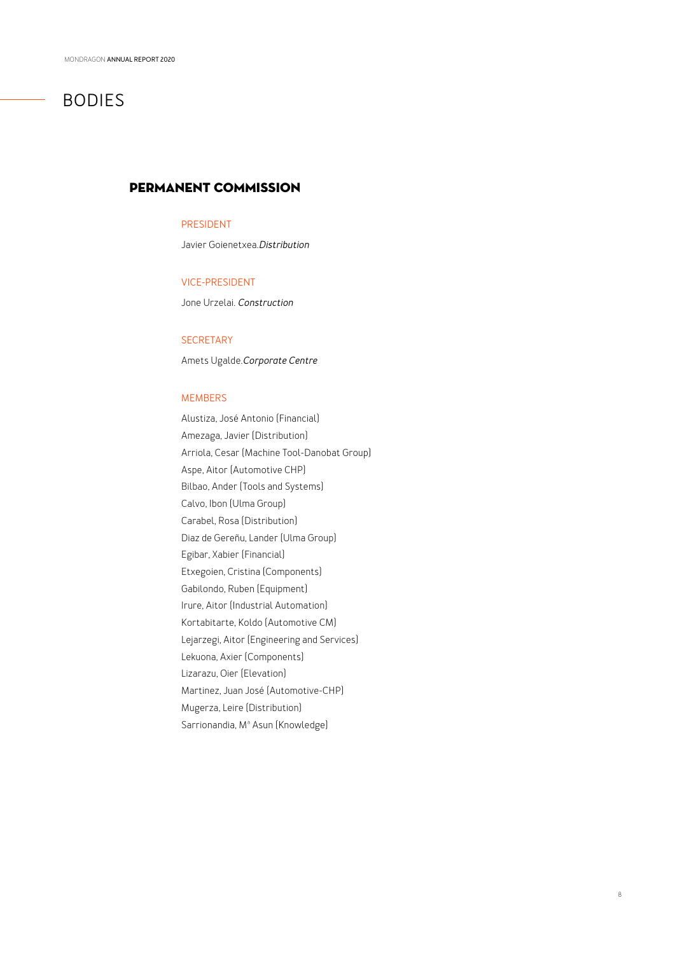## BODIES

### PERMANENT COMMISSION

### PRESIDENT

Javier Goienetxea.*Distribution*

### VICE-PRESIDENT

Jone Urzelai. *Construction*

### **SECRETARY**

Amets Ugalde.*Corporate Centre*

### MEMBERS

Alustiza, José Antonio (Financial) Amezaga, Javier (Distribution) Arriola, Cesar (Machine Tool-Danobat Group) Aspe, Aitor (Automotive CHP) Bilbao, Ander (Tools and Systems) Calvo, Ibon (Ulma Group) Carabel, Rosa (Distribution) Diaz de Gereñu, Lander (Ulma Group) Egibar, Xabier (Financial) Etxegoien, Cristina (Components) Gabilondo, Ruben (Equipment) Irure, Aitor (Industrial Automation) Kortabitarte, Koldo (Automotive CM) Lejarzegi, Aitor (Engineering and Services) Lekuona, Axier (Components) Lizarazu, Oier (Elevation) Martinez, Juan José (Automotive-CHP) Mugerza, Leire (Distribution) Sarrionandia, Mª Asun (Knowledge)

8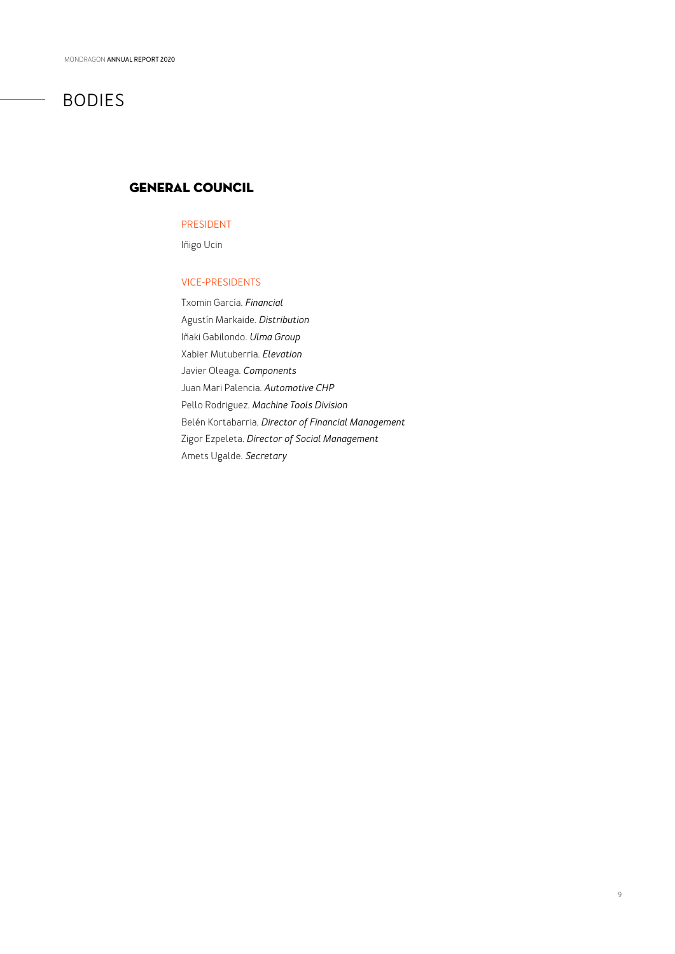## BODIES

### GENERAL COUNCIL

### PRESIDENT

Iñigo Ucin

### VICE-PRESIDENTS

Txomin García. *Financial* Agustín Markaide. *Distribution* Iñaki Gabilondo. *Ulma Group* Xabier Mutuberria. *Elevation* Javier Oleaga. *Components* Juan Mari Palencia. *Automotive CHP*  Pello Rodriguez. *Machine Tools Division*  Belén Kortabarria. *Director of Financial Management* Zigor Ezpeleta. *Director of Social Management* Amets Ugalde. *Secretary*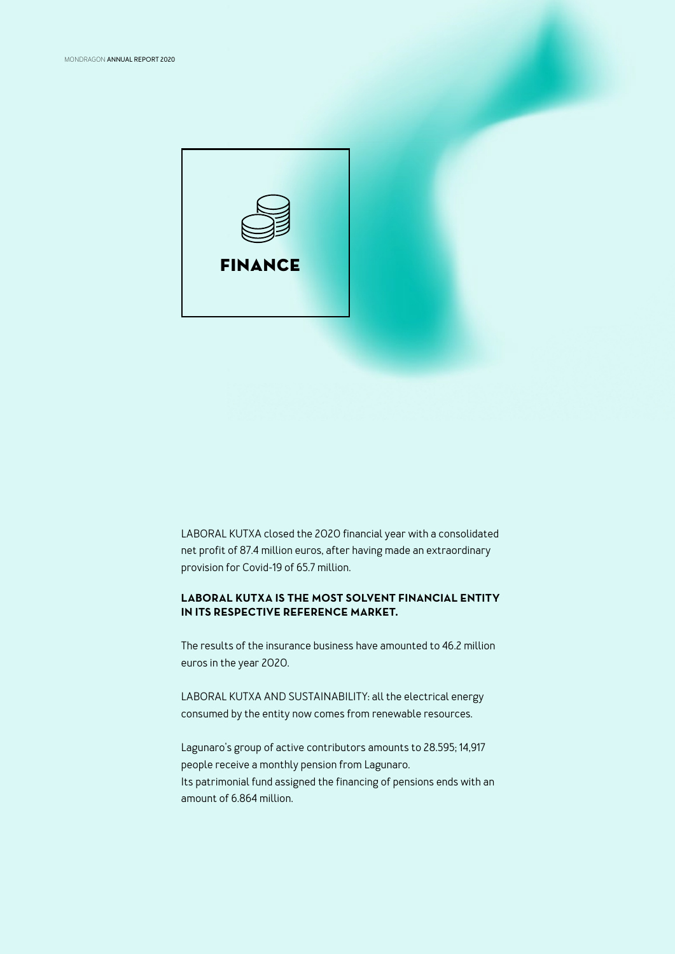

LABORAL KUTXA closed the 2020 financial year with a consolidated net profit of 87.4 million euros, after having made an extraordinary provision for Covid-19 of 65.7 million.

### **LABORAL KUTXA IS THE MOST SOLVENT FINANCIAL ENTITY IN ITS RESPECTIVE REFERENCE MARKET.**

The results of the insurance business have amounted to 46.2 million euros in the year 2020.

LABORAL KUTXA AND SUSTAINABILITY: all the electrical energy consumed by the entity now comes from renewable resources.

Lagunaro's group of active contributors amounts to 28.595; 14,917 people receive a monthly pension from Lagunaro. Its patrimonial fund assigned the financing of pensions ends with an amount of 6.864 million.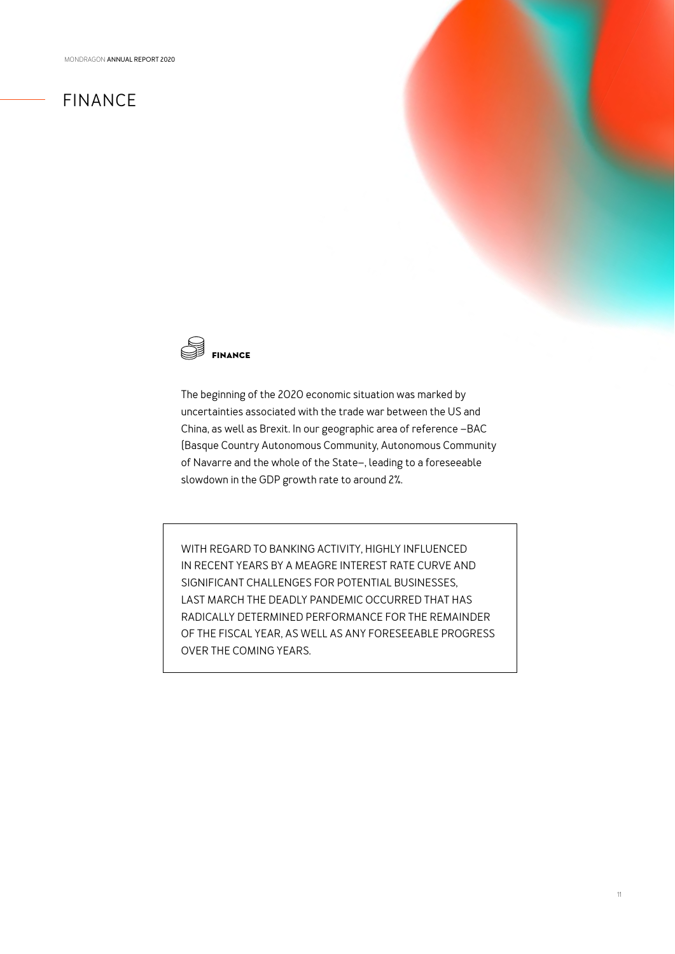## FINANCE



The beginning of the 2020 economic situation was marked by uncertainties associated with the trade war between the US and China, as well as Brexit. In our geographic area of reference –BAC (Basque Country Autonomous Community, Autonomous Community of Navarre and the whole of the State–, leading to a foreseeable slowdown in the GDP growth rate to around 2%.

WITH REGARD TO BANKING ACTIVITY, HIGHLY INFLUENCED IN RECENT YEARS BY A MEAGRE INTEREST RATE CURVE AND SIGNIFICANT CHALLENGES FOR POTENTIAL BUSINESSES, LAST MARCH THE DEADLY PANDEMIC OCCURRED THAT HAS RADICALLY DETERMINED PERFORMANCE FOR THE REMAINDER OF THE FISCAL YEAR, AS WELL AS ANY FORESEEABLE PROGRESS OVER THE COMING YEARS.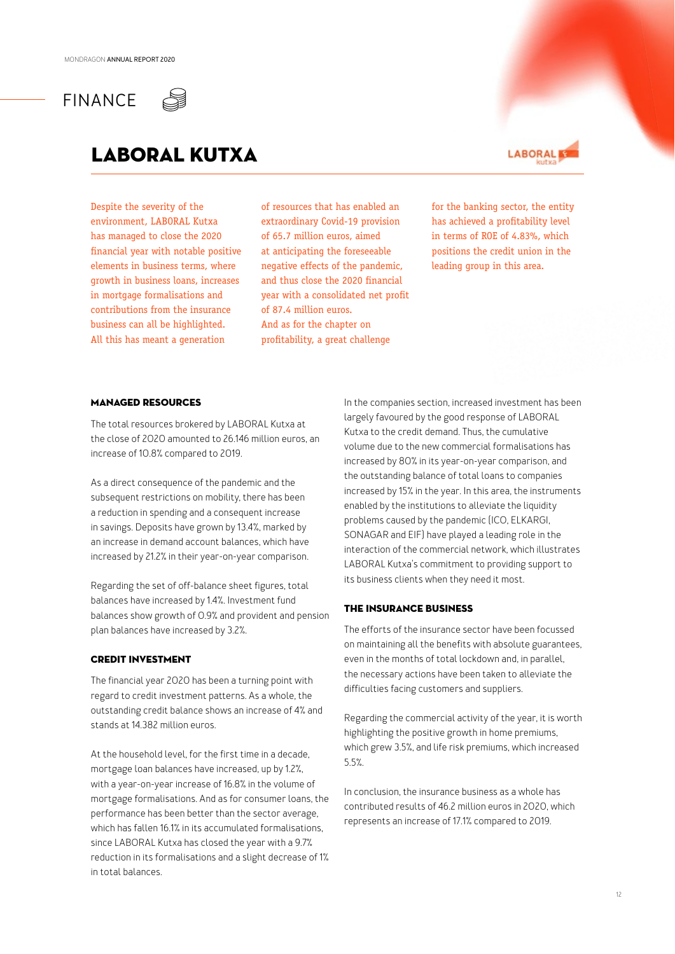## FINANCE



## LABORAL KUTXA

Despite the severity of the environment, LABORAL Kutxa has managed to close the 2020 financial year with notable positive elements in business terms, where growth in business loans, increases in mortgage formalisations and contributions from the insurance business can all be highlighted. All this has meant a generation

of resources that has enabled an extraordinary Covid-19 provision of 65.7 million euros, aimed at anticipating the foreseeable negative effects of the pandemic, and thus close the 2020 financial year with a consolidated net profit of 87.4 million euros. And as for the chapter on profitability, a great challenge



for the banking sector, the entity has achieved a profitability level in terms of ROE of 4.83%, which positions the credit union in the leading group in this area.

### MANAGED RESOURCES

The total resources brokered by LABORAL Kutxa at the close of 2020 amounted to 26.146 million euros, an increase of 10.8% compared to 2019.

As a direct consequence of the pandemic and the subsequent restrictions on mobility, there has been a reduction in spending and a consequent increase in savings. Deposits have grown by 13.4%, marked by an increase in demand account balances, which have increased by 21.2% in their year-on-year comparison.

Regarding the set of off-balance sheet figures, total balances have increased by 1.4%. Investment fund balances show growth of 0.9% and provident and pension plan balances have increased by 3.2%.

### CREDIT INVESTMENT

The financial year 2020 has been a turning point with regard to credit investment patterns. As a whole, the outstanding credit balance shows an increase of 4% and stands at 14.382 million euros.

At the household level, for the first time in a decade, mortgage loan balances have increased, up by 1.2%, with a year-on-year increase of 16.8% in the volume of mortgage formalisations. And as for consumer loans, the performance has been better than the sector average, which has fallen 16.1% in its accumulated formalisations, since LABORAL Kutxa has closed the year with a 9.7% reduction in its formalisations and a slight decrease of 1% in total balances.

In the companies section, increased investment has been largely favoured by the good response of LABORAL Kutxa to the credit demand. Thus, the cumulative volume due to the new commercial formalisations has increased by 80% in its year-on-year comparison, and the outstanding balance of total loans to companies increased by 15% in the year. In this area, the instruments enabled by the institutions to alleviate the liquidity problems caused by the pandemic (ICO, ELKARGI, SONAGAR and EIF) have played a leading role in the interaction of the commercial network, which illustrates LABORAL Kutxa's commitment to providing support to its business clients when they need it most.

### THE INSURANCE BUSINESS

The efforts of the insurance sector have been focussed on maintaining all the benefits with absolute guarantees, even in the months of total lockdown and, in parallel, the necessary actions have been taken to alleviate the difficulties facing customers and suppliers.

Regarding the commercial activity of the year, it is worth highlighting the positive growth in home premiums, which grew 3.5%, and life risk premiums, which increased 5.5%.

In conclusion, the insurance business as a whole has contributed results of 46.2 million euros in 2020, which represents an increase of 17.1% compared to 2019.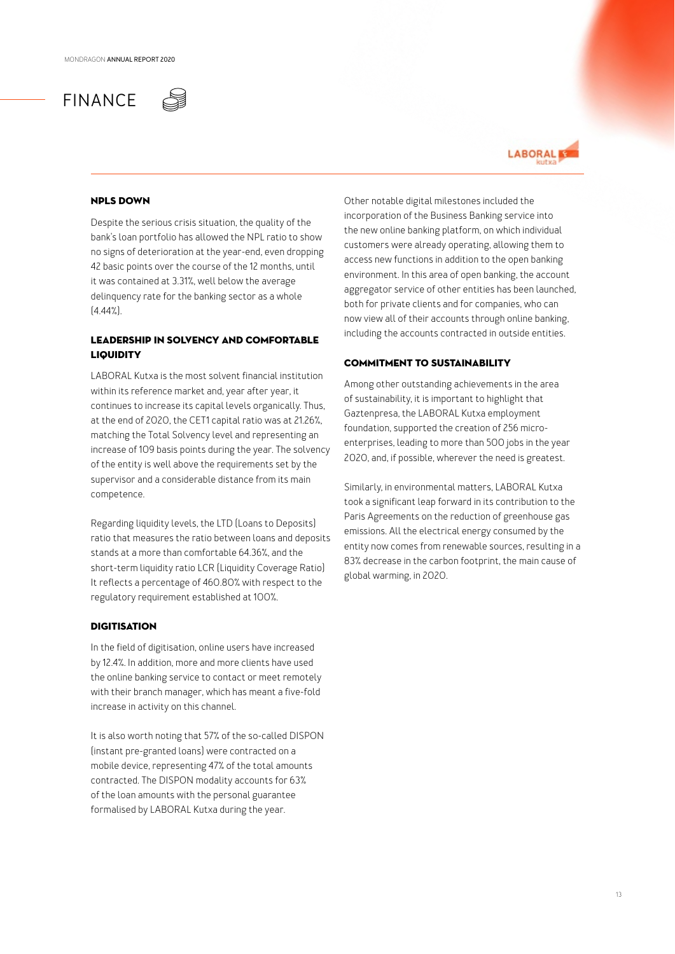



### NPLS DOWN

Despite the serious crisis situation, the quality of the bank's loan portfolio has allowed the NPL ratio to show no signs of deterioration at the year-end, even dropping 42 basic points over the course of the 12 months, until it was contained at 3.31%, well below the average delinquency rate for the banking sector as a whole  $[4.44\%]$ .

### LEADERSHIP IN SOLVENCY AND COMFORTABLE **LIQUIDITY**

LABORAL Kutxa is the most solvent financial institution within its reference market and, year after year, it continues to increase its capital levels organically. Thus, at the end of 2020, the CET1 capital ratio was at 21.26%, matching the Total Solvency level and representing an increase of 109 basis points during the year. The solvency of the entity is well above the requirements set by the supervisor and a considerable distance from its main competence.

Regarding liquidity levels, the LTD (Loans to Deposits) ratio that measures the ratio between loans and deposits stands at a more than comfortable 64.36%, and the short-term liquidity ratio LCR (Liquidity Coverage Ratio) It reflects a percentage of 460.80% with respect to the regulatory requirement established at 100%.

### **DIGITISATION**

In the field of digitisation, online users have increased by 12.4%. In addition, more and more clients have used the online banking service to contact or meet remotely with their branch manager, which has meant a five-fold increase in activity on this channel.

It is also worth noting that 57% of the so-called DISPON (instant pre-granted loans) were contracted on a mobile device, representing 47% of the total amounts contracted. The DISPON modality accounts for 63% of the loan amounts with the personal guarantee formalised by LABORAL Kutxa during the year.

Other notable digital milestones included the incorporation of the Business Banking service into the new online banking platform, on which individual customers were already operating, allowing them to access new functions in addition to the open banking environment. In this area of open banking, the account aggregator service of other entities has been launched, both for private clients and for companies, who can now view all of their accounts through online banking, including the accounts contracted in outside entities.

### COMMITMENT TO SUSTAINABILITY

Among other outstanding achievements in the area of sustainability, it is important to highlight that Gaztenpresa, the LABORAL Kutxa employment foundation, supported the creation of 256 microenterprises, leading to more than 500 jobs in the year 2020, and, if possible, wherever the need is greatest.

Similarly, in environmental matters, LABORAL Kutxa took a significant leap forward in its contribution to the Paris Agreements on the reduction of greenhouse gas emissions. All the electrical energy consumed by the entity now comes from renewable sources, resulting in a 83% decrease in the carbon footprint, the main cause of global warming, in 2020.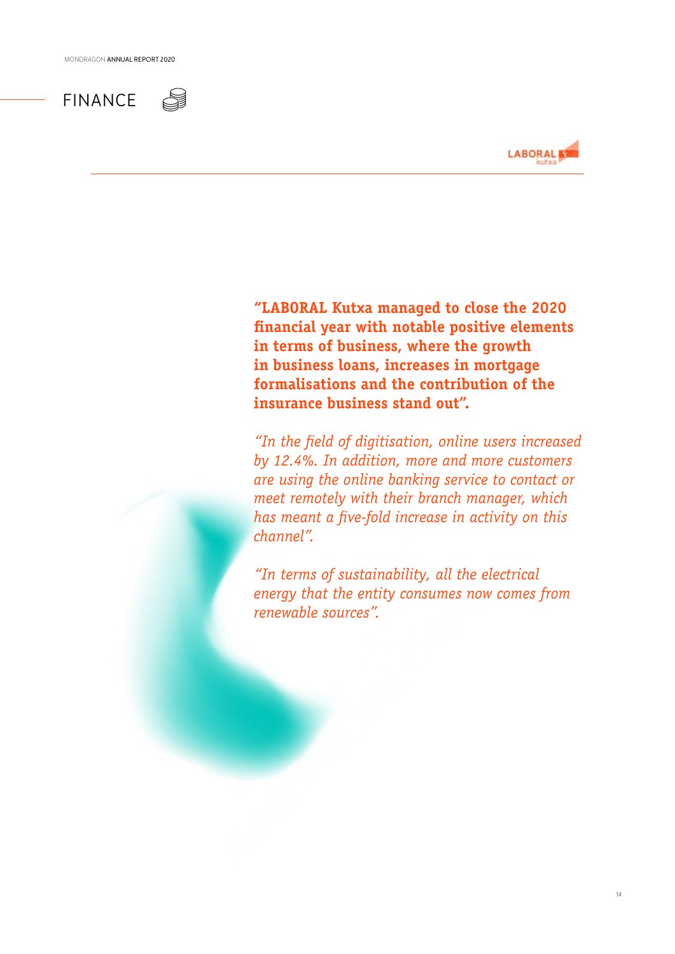



**"LABORAL Kutxa managed to close the 2020 financial year with notable positive elements in terms of business, where the growth in business loans, increases in mortgage formalisations and the contribution of the insurance business stand out".**

*"In the field of digitisation, online users increased by 12.4%. In addition, more and more customers are using the online banking service to contact or meet remotely with their branch manager, which has meant a five-fold increase in activity on this channel".*

*"In terms of sustainability, all the electrical energy that the entity consumes now comes from renewable sources".*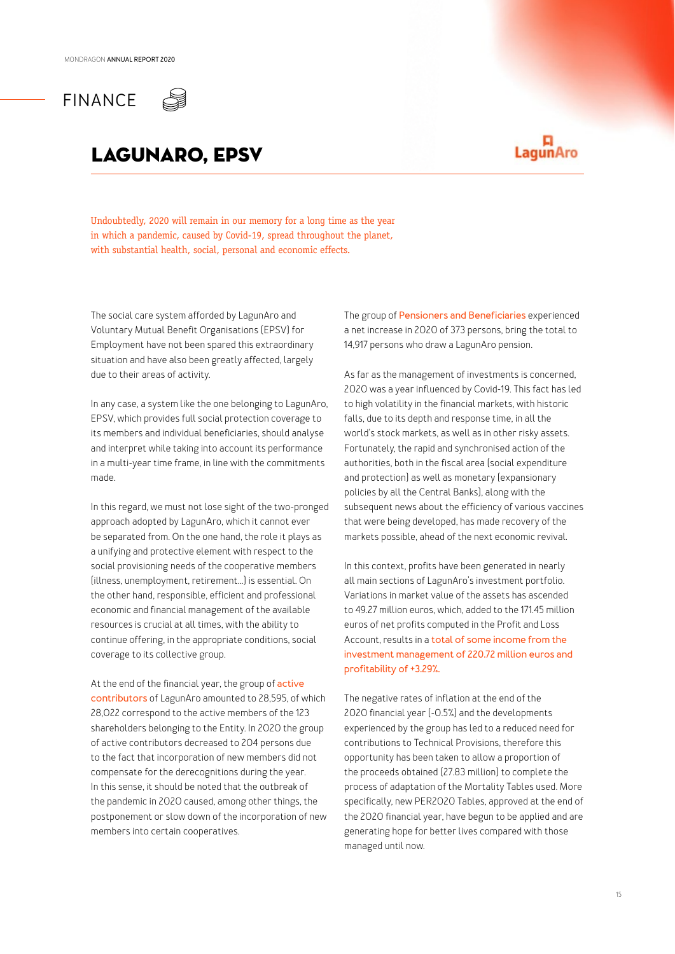

## lagunaro, epsv

## 口<br>LagunAro

Undoubtedly, 2020 will remain in our memory for a long time as the year in which a pandemic, caused by Covid-19, spread throughout the planet, with substantial health, social, personal and economic effects.

The social care system afforded by LagunAro and Voluntary Mutual Benefit Organisations (EPSV) for Employment have not been spared this extraordinary situation and have also been greatly affected, largely due to their areas of activity.

In any case, a system like the one belonging to LagunAro, EPSV, which provides full social protection coverage to its members and individual beneficiaries, should analyse and interpret while taking into account its performance in a multi-year time frame, in line with the commitments made.

In this regard, we must not lose sight of the two-pronged approach adopted by LagunAro, which it cannot ever be separated from. On the one hand, the role it plays as a unifying and protective element with respect to the social provisioning needs of the cooperative members (illness, unemployment, retirement...) is essential. On the other hand, responsible, efficient and professional economic and financial management of the available resources is crucial at all times, with the ability to continue offering, in the appropriate conditions, social coverage to its collective group.

At the end of the financial year, the group of **active contributors** of LagunAro amounted to 28,595, of which 28,022 correspond to the active members of the 123 shareholders belonging to the Entity. In 2020 the group of active contributors decreased to 204 persons due to the fact that incorporation of new members did not compensate for the derecognitions during the year. In this sense, it should be noted that the outbreak of the pandemic in 2020 caused, among other things, the postponement or slow down of the incorporation of new members into certain cooperatives.

The group of **Pensioners and Beneficiaries** experienced a net increase in 2020 of 373 persons, bring the total to 14,917 persons who draw a LagunAro pension.

As far as the management of investments is concerned, 2020 was a year influenced by Covid-19. This fact has led to high volatility in the financial markets, with historic falls, due to its depth and response time, in all the world's stock markets, as well as in other risky assets. Fortunately, the rapid and synchronised action of the authorities, both in the fiscal area (social expenditure and protection) as well as monetary (expansionary policies by all the Central Banks), along with the subsequent news about the efficiency of various vaccines that were being developed, has made recovery of the markets possible, ahead of the next economic revival.

In this context, profits have been generated in nearly all main sections of LagunAro's investment portfolio. Variations in market value of the assets has ascended to 49.27 million euros, which, added to the 171.45 million euros of net profits computed in the Profit and Loss Account, results in a **total of some income from the investment management of 220.72 million euros and profitability of +3.29%.**

The negative rates of inflation at the end of the 2020 financial year (-0.5%) and the developments experienced by the group has led to a reduced need for contributions to Technical Provisions, therefore this opportunity has been taken to allow a proportion of the proceeds obtained (27.83 million) to complete the process of adaptation of the Mortality Tables used. More specifically, new PER2020 Tables, approved at the end of the 2020 financial year, have begun to be applied and are generating hope for better lives compared with those managed until now.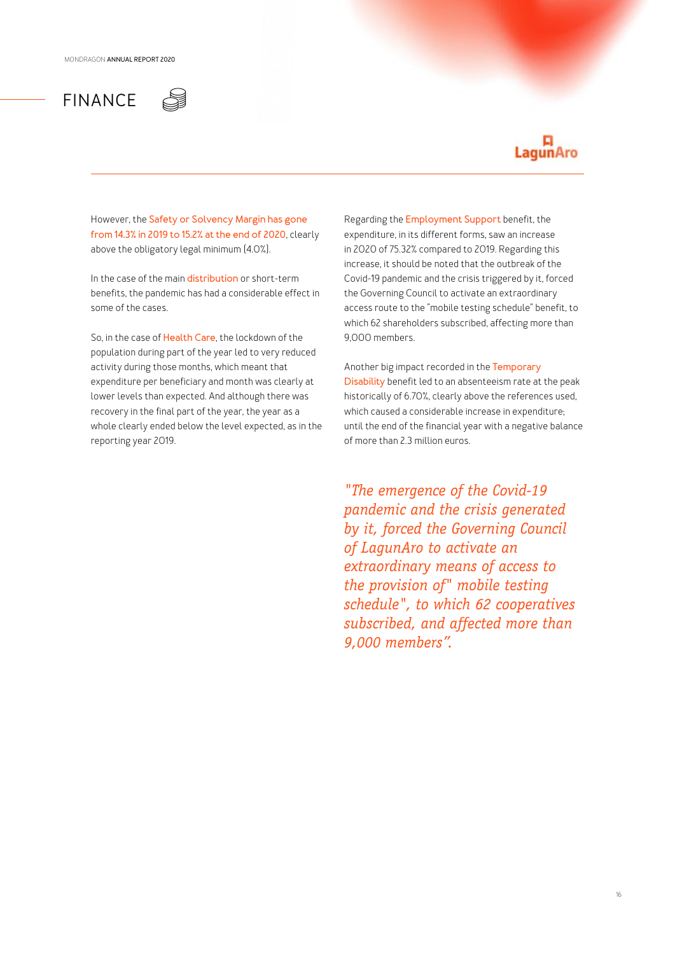## FINANCE



However, the **Safety or Solvency Margin has gone from 14.3% in 2019 to 15.2% at the end of 2020**, clearly above the obligatory legal minimum (4.0%).

In the case of the main **distribution** or short-term benefits, the pandemic has had a considerable effect in some of the cases.

So, in the case of **Health Care**, the lockdown of the population during part of the year led to very reduced activity during those months, which meant that expenditure per beneficiary and month was clearly at lower levels than expected. And although there was recovery in the final part of the year, the year as a whole clearly ended below the level expected, as in the reporting year 2019.

Regarding the **Employment Support** benefit, the expenditure, in its different forms, saw an increase in 2020 of 75.32% compared to 2019. Regarding this increase, it should be noted that the outbreak of the Covid-19 pandemic and the crisis triggered by it, forced the Governing Council to activate an extraordinary access route to the "mobile testing schedule" benefit, to which 62 shareholders subscribed, affecting more than 9,000 members.

Another big impact recorded in the **Temporary Disability** benefit led to an absenteeism rate at the peak historically of 6.70%, clearly above the references used, which caused a considerable increase in expenditure; until the end of the financial year with a negative balance of more than 2.3 million euros.

*"The emergence of the Covid-19 pandemic and the crisis generated by it, forced the Governing Council of LagunAro to activate an extraordinary means of access to the provision of" mobile testing schedule", to which 62 cooperatives subscribed, and affected more than 9,000 members".*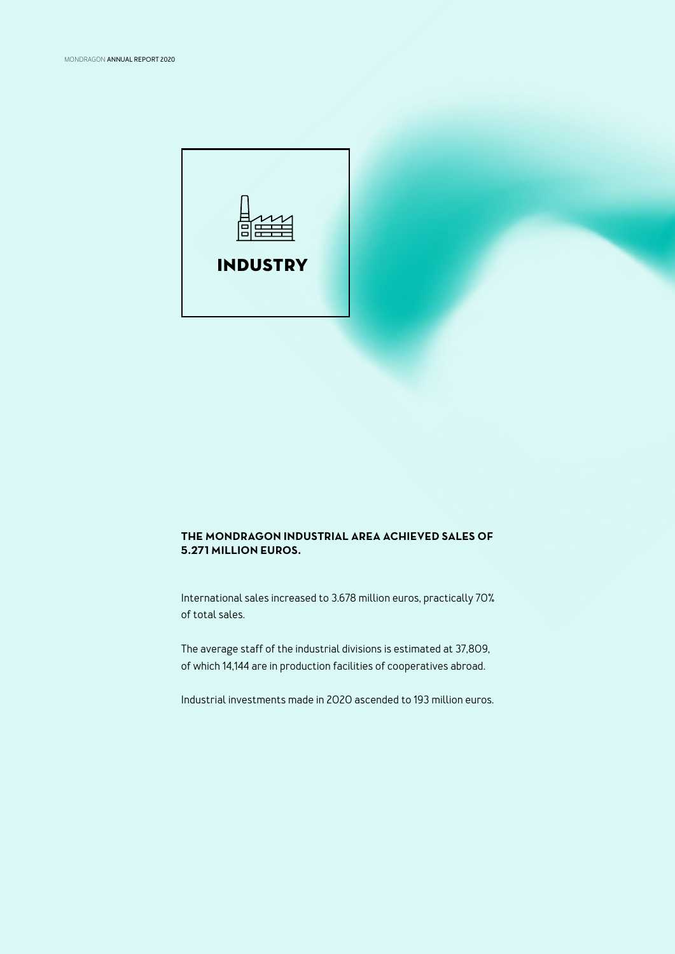

### **THE MONDRAGON INDUSTRIAL AREA ACHIEVED SALES OF 5.271 MILLION EUROS.**

International sales increased to 3.678 million euros, practically 70% of total sales.

The average staff of the industrial divisions is estimated at 37,809, of which 14,144 are in production facilities of cooperatives abroad.

Industrial investments made in 2020 ascended to 193 million euros.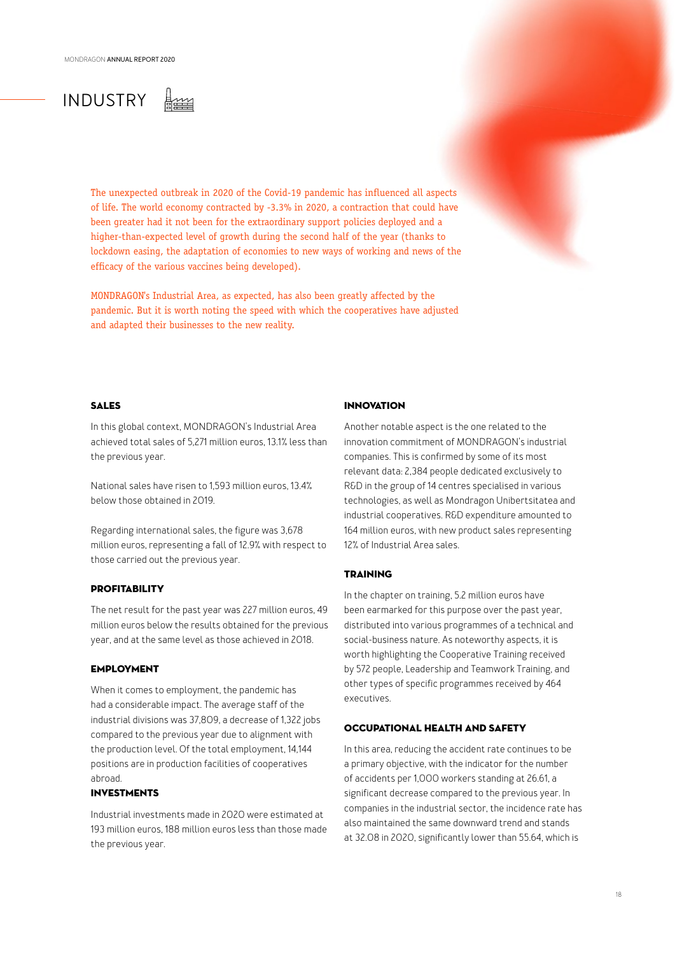## INDUSTRY

The unexpected outbreak in 2020 of the Covid-19 pandemic has influenced all aspects of life. The world economy contracted by -3.3% in 2020, a contraction that could have been greater had it not been for the extraordinary support policies deployed and a higher-than-expected level of growth during the second half of the year (thanks to lockdown easing, the adaptation of economies to new ways of working and news of the efficacy of the various vaccines being developed).

MONDRAGON's Industrial Area, as expected, has also been greatly affected by the pandemic. But it is worth noting the speed with which the cooperatives have adjusted and adapted their businesses to the new reality.

### SALES

In this global context, MONDRAGON's Industrial Area achieved total sales of 5,271 million euros, 13.1% less than the previous year.

National sales have risen to 1,593 million euros, 13.4% below those obtained in 2019.

Regarding international sales, the figure was 3,678 million euros, representing a fall of 12.9% with respect to those carried out the previous year.

### PROFITABILITY

The net result for the past year was 227 million euros, 49 million euros below the results obtained for the previous year, and at the same level as those achieved in 2018.

### EMPLOYMENT

When it comes to employment, the pandemic has had a considerable impact. The average staff of the industrial divisions was 37,809, a decrease of 1,322 jobs compared to the previous year due to alignment with the production level. Of the total employment, 14,144 positions are in production facilities of cooperatives abroad.

### INVESTMENTS

Industrial investments made in 2020 were estimated at 193 million euros, 188 million euros less than those made the previous year.

### INNOVATION

Another notable aspect is the one related to the innovation commitment of MONDRAGON's industrial companies. This is confirmed by some of its most relevant data: 2,384 people dedicated exclusively to R&D in the group of 14 centres specialised in various technologies, as well as Mondragon Unibertsitatea and industrial cooperatives. R&D expenditure amounted to 164 million euros, with new product sales representing 12% of Industrial Area sales.

### TRAINING

In the chapter on training, 5.2 million euros have been earmarked for this purpose over the past year, distributed into various programmes of a technical and social-business nature. As noteworthy aspects, it is worth highlighting the Cooperative Training received by 572 people, Leadership and Teamwork Training, and other types of specific programmes received by 464 executives.

### OCCUPATIONAL HEALTH AND SAFETY

In this area, reducing the accident rate continues to be a primary objective, with the indicator for the number of accidents per 1,000 workers standing at 26.61, a significant decrease compared to the previous year. In companies in the industrial sector, the incidence rate has also maintained the same downward trend and stands at 32.08 in 2020, significantly lower than 55.64, which is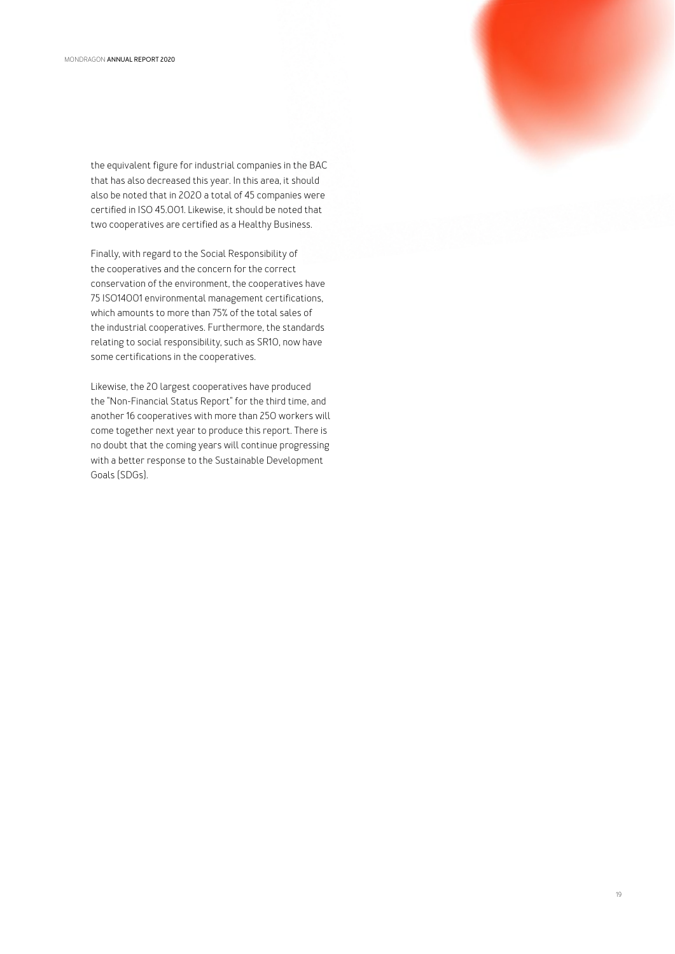the equivalent figure for industrial companies in the BAC that has also decreased this year. In this area, it should also be noted that in 2020 a total of 45 companies were certified in ISO 45.001. Likewise, it should be noted that two cooperatives are certified as a Healthy Business.

Finally, with regard to the Social Responsibility of the cooperatives and the concern for the correct conservation of the environment, the cooperatives have 75 ISO14001 environmental management certifications, which amounts to more than 75% of the total sales of the industrial cooperatives. Furthermore, the standards relating to social responsibility, such as SR10, now have some certifications in the cooperatives.

Likewise, the 20 largest cooperatives have produced the "Non-Financial Status Report" for the third time, and another 16 cooperatives with more than 250 workers will come together next year to produce this report. There is no doubt that the coming years will continue progressing with a better response to the Sustainable Development Goals (SDGs).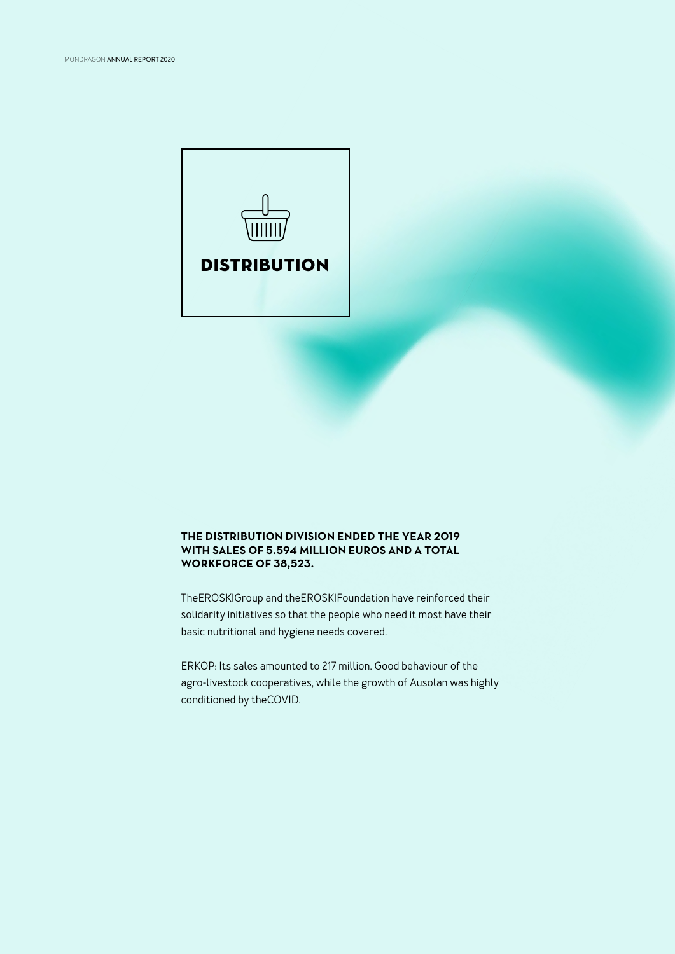

### **THE DISTRIBUTION DIVISION ENDED THE YEAR 2019 WITH SALES OF 5.594 MILLION EUROS AND A TOTAL WORKFORCE OF 38,523.**

TheEROSKIGroup and theEROSKIFoundation have reinforced their solidarity initiatives so that the people who need it most have their basic nutritional and hygiene needs covered.

ERKOP: Its sales amounted to 217 million. Good behaviour of the agro-livestock cooperatives, while the growth of Ausolan was highly conditioned by theCOVID.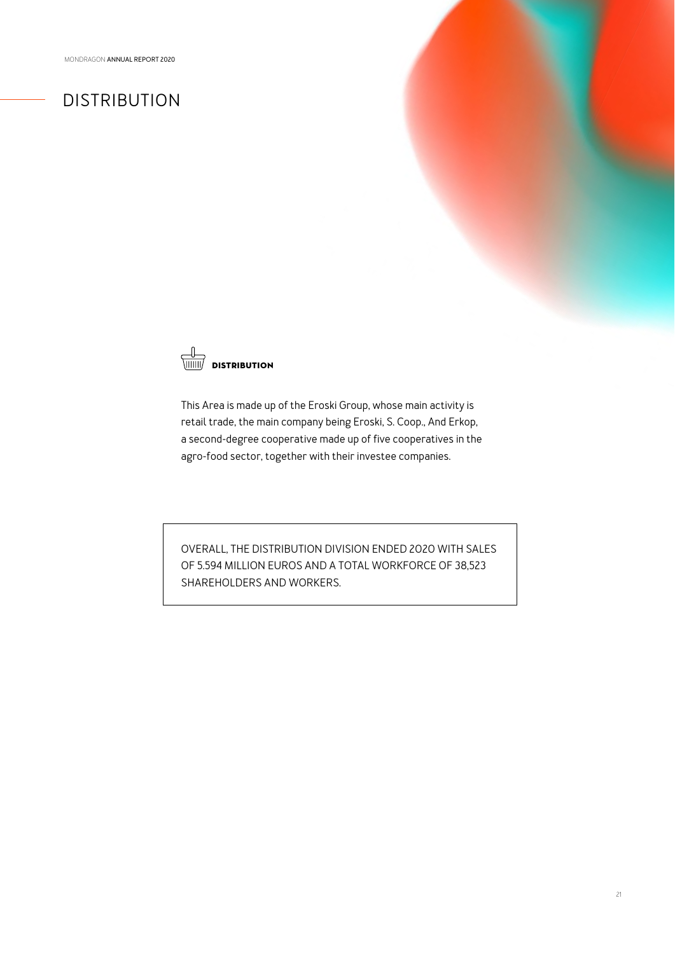## DISTRIBUTION



This Area is made up of the Eroski Group, whose main activity is retail trade, the main company being Eroski, S. Coop., And Erkop, a second-degree cooperative made up of five cooperatives in the agro-food sector, together with their investee companies.

OVERALL, THE DISTRIBUTION DIVISION ENDED 2020 WITH SALES OF 5.594 MILLION EUROS AND A TOTAL WORKFORCE OF 38,523 SHAREHOLDERS AND WORKERS.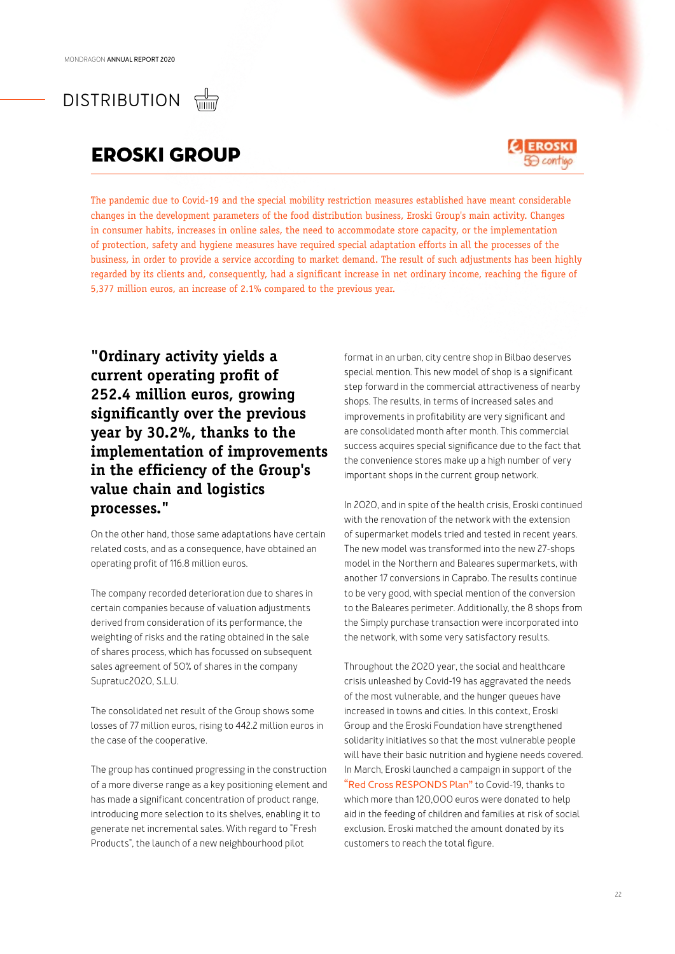DISTRIBUTION

## EROSKI GROUP



The pandemic due to Covid-19 and the special mobility restriction measures established have meant considerable changes in the development parameters of the food distribution business, Eroski Group's main activity. Changes in consumer habits, increases in online sales, the need to accommodate store capacity, or the implementation of protection, safety and hygiene measures have required special adaptation efforts in all the processes of the business, in order to provide a service according to market demand. The result of such adjustments has been highly regarded by its clients and, consequently, had a significant increase in net ordinary income, reaching the figure of 5,377 million euros, an increase of 2.1% compared to the previous year.

**"Ordinary activity yields a current operating profit of 252.4 million euros, growing significantly over the previous year by 30.2%, thanks to the implementation of improvements in the efficiency of the Group's value chain and logistics processes."**

On the other hand, those same adaptations have certain related costs, and as a consequence, have obtained an operating profit of 116.8 million euros.

The company recorded deterioration due to shares in certain companies because of valuation adjustments derived from consideration of its performance, the weighting of risks and the rating obtained in the sale of shares process, which has focussed on subsequent sales agreement of 50% of shares in the company Supratuc2020, S.L.U.

The consolidated net result of the Group shows some losses of 77 million euros, rising to 442.2 million euros in the case of the cooperative.

The group has continued progressing in the construction of a more diverse range as a key positioning element and has made a significant concentration of product range, introducing more selection to its shelves, enabling it to generate net incremental sales. With regard to "Fresh Products", the launch of a new neighbourhood pilot

format in an urban, city centre shop in Bilbao deserves special mention. This new model of shop is a significant step forward in the commercial attractiveness of nearby shops. The results, in terms of increased sales and improvements in profitability are very significant and are consolidated month after month. This commercial success acquires special significance due to the fact that the convenience stores make up a high number of very important shops in the current group network.

In 2020, and in spite of the health crisis, Eroski continued with the renovation of the network with the extension of supermarket models tried and tested in recent years. The new model was transformed into the new 27-shops model in the Northern and Baleares supermarkets, with another 17 conversions in Caprabo. The results continue to be very good, with special mention of the conversion to the Baleares perimeter. Additionally, the 8 shops from the Simply purchase transaction were incorporated into the network, with some very satisfactory results.

Throughout the 2020 year, the social and healthcare crisis unleashed by Covid-19 has aggravated the needs of the most vulnerable, and the hunger queues have increased in towns and cities. In this context, Eroski Group and the Eroski Foundation have strengthened solidarity initiatives so that the most vulnerable people will have their basic nutrition and hygiene needs covered. In March, Eroski launched a campaign in support of the **"Red Cross RESPONDS Plan"** to Covid-19, thanks to which more than 120,000 euros were donated to help aid in the feeding of children and families at risk of social exclusion. Eroski matched the amount donated by its customers to reach the total figure.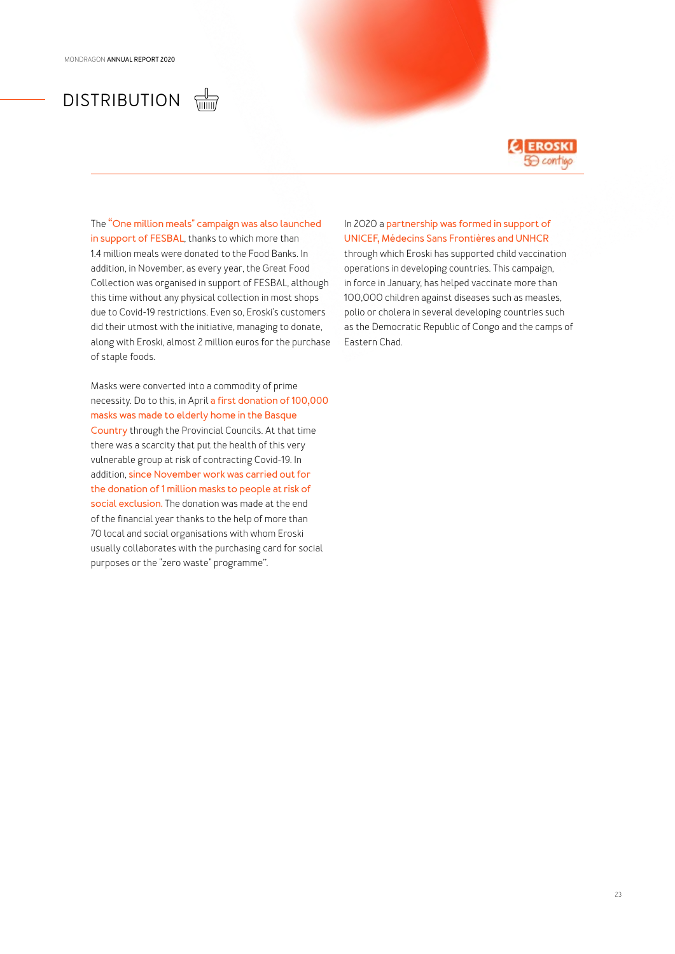### $\frac{1}{\sqrt{100}}$ DISTRIBUTION



The **"One million meals" campaign was also launched in support of FESBAL**, thanks to which more than 1.4 million meals were donated to the Food Banks. In addition, in November, as every year, the Great Food Collection was organised in support of FESBAL, although this time without any physical collection in most shops due to Covid-19 restrictions. Even so, Eroski's customers did their utmost with the initiative, managing to donate, along with Eroski, almost 2 million euros for the purchase of staple foods.

Masks were converted into a commodity of prime necessity. Do to this, in April **a first donation of 100,000 masks was made to elderly home in the Basque Country** through the Provincial Councils. At that time there was a scarcity that put the health of this very vulnerable group at risk of contracting Covid-19. In addition, **since November work was carried out for the donation of 1 million masks to people at risk of social exclusion.** The donation was made at the end of the financial year thanks to the help of more than 70 local and social organisations with whom Eroski usually collaborates with the purchasing card for social purposes or the "zero waste" programme''.

### In 2020 a **partnership was formed in support of UNICEF, Médecins Sans Frontières and UNHCR**

through which Eroski has supported child vaccination operations in developing countries. This campaign, in force in January, has helped vaccinate more than 100,000 children against diseases such as measles, polio or cholera in several developing countries such as the Democratic Republic of Congo and the camps of Eastern Chad.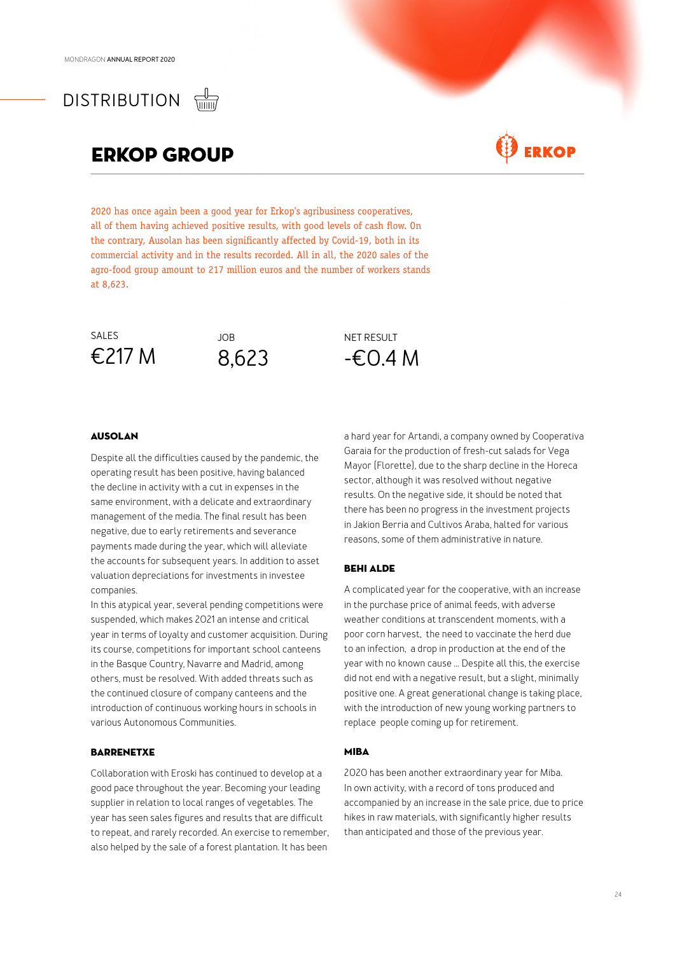## DISTRIBUTION

## ERkop GROUP

## **ERKOP**

2020 has once again been a good year for Erkop's agribusiness cooperatives, all of them having achieved positive results, with good levels of cash flow. On the contrary, Ausolan has been significantly affected by Covid-19, both in its commercial activity and in the results recorded. All in all, the 2020 sales of the agro-food group amount to 217 million euros and the number of workers stands at 8,623.





NET RESULT -€0.4 M

### AUSOLAN

Despite all the difficulties caused by the pandemic, the operating result has been positive, having balanced the decline in activity with a cut in expenses in the same environment, with a delicate and extraordinary management of the media. The final result has been negative, due to early retirements and severance payments made during the year, which will alleviate the accounts for subsequent years. In addition to asset valuation depreciations for investments in investee companies.

In this atypical year, several pending competitions were suspended, which makes 2021 an intense and critical year in terms of loyalty and customer acquisition. During its course, competitions for important school canteens in the Basque Country, Navarre and Madrid, among others, must be resolved. With added threats such as the continued closure of company canteens and the introduction of continuous working hours in schools in various Autonomous Communities.

### **BARRENETXE**

Collaboration with Eroski has continued to develop at a good pace throughout the year. Becoming your leading supplier in relation to local ranges of vegetables. The year has seen sales figures and results that are difficult to repeat, and rarely recorded. An exercise to remember, also helped by the sale of a forest plantation. It has been

a hard year for Artandi, a company owned by Cooperativa Garaia for the production of fresh-cut salads for Vega Mayor (Florette), due to the sharp decline in the Horeca sector, although it was resolved without negative results. On the negative side, it should be noted that there has been no progress in the investment projects in Jakion Berria and Cultivos Araba, halted for various reasons, some of them administrative in nature.

### BEHI ALDE

A complicated year for the cooperative, with an increase in the purchase price of animal feeds, with adverse weather conditions at transcendent moments, with a poor corn harvest, the need to vaccinate the herd due to an infection, a drop in production at the end of the year with no known cause ... Despite all this, the exercise did not end with a negative result, but a slight, minimally positive one. A great generational change is taking place, with the introduction of new young working partners to replace people coming up for retirement.

### MIBA

2020 has been another extraordinary year for Miba. In own activity, with a record of tons produced and accompanied by an increase in the sale price, due to price hikes in raw materials, with significantly higher results than anticipated and those of the previous year.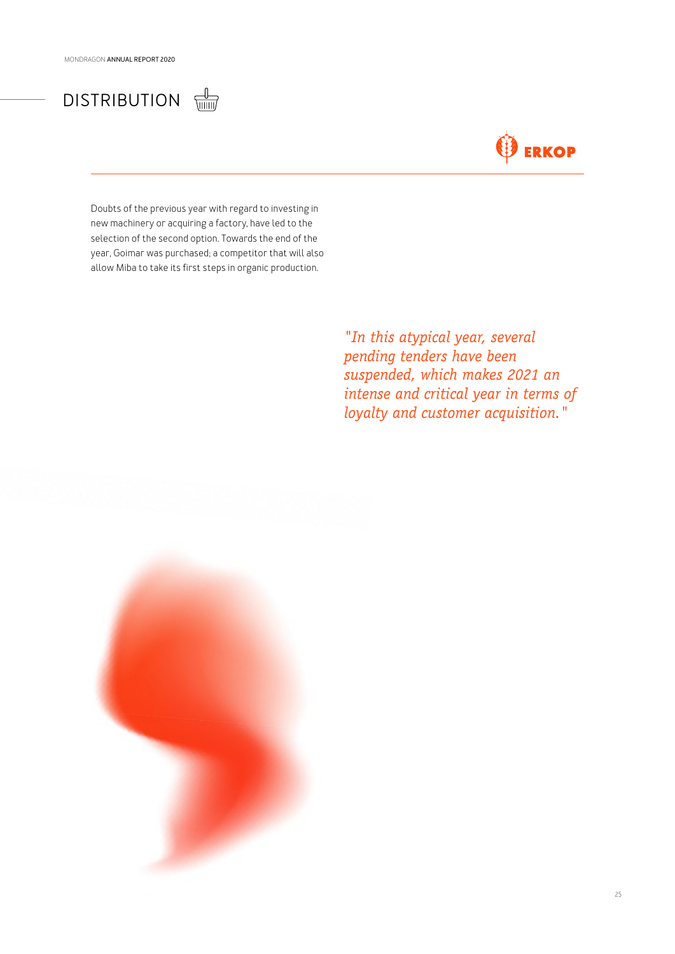## DISTRIBUTION **LEADER**

## **ERKOP**

Doubts of the previous year with regard to investing in new machinery or acquiring a factory, have led to the selection of the second option. Towards the end of the year, Goimar was purchased; a competitor that will also allow Miba to take its first steps in organic production.

> *"In this atypical year, several pending tenders have been suspended, which makes 2021 an intense and critical year in terms of loyalty and customer acquisition."*

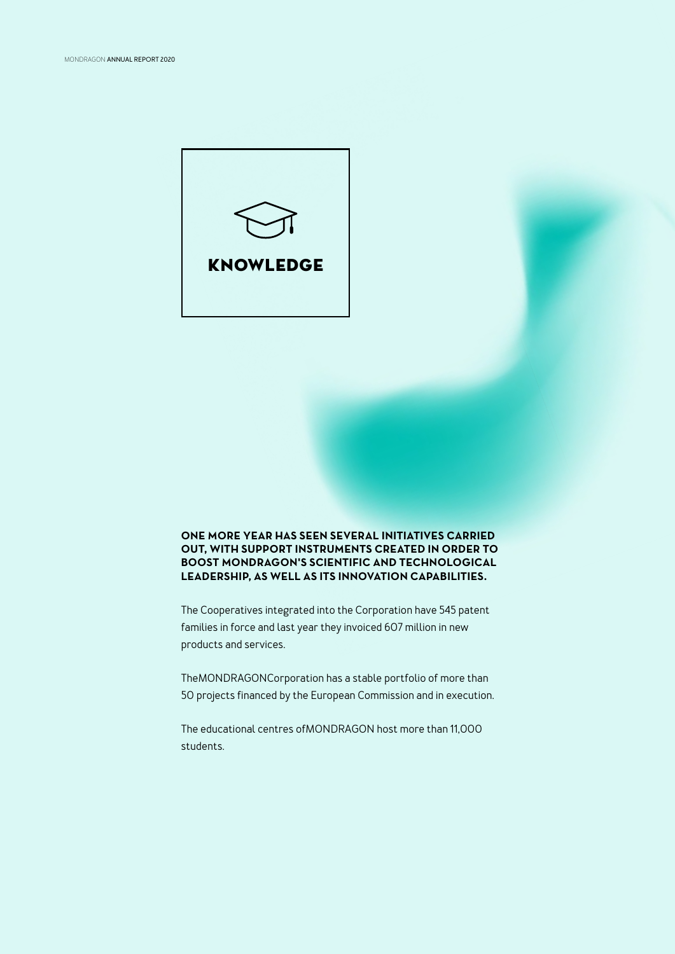

### **ONE MORE YEAR HAS SEEN SEVERAL INITIATIVES CARRIED OUT, WITH SUPPORT INSTRUMENTS CREATED IN ORDER TO BOOST MONDRAGON'S SCIENTIFIC AND TECHNOLOGICAL LEADERSHIP, AS WELL AS ITS INNOVATION CAPABILITIES.**

The Cooperatives integrated into the Corporation have 545 patent families in force and last year they invoiced 607 million in new products and services.

TheMONDRAGONCorporation has a stable portfolio of more than 50 projects financed by the European Commission and in execution.

The educational centres ofMONDRAGON host more than 11,000 students.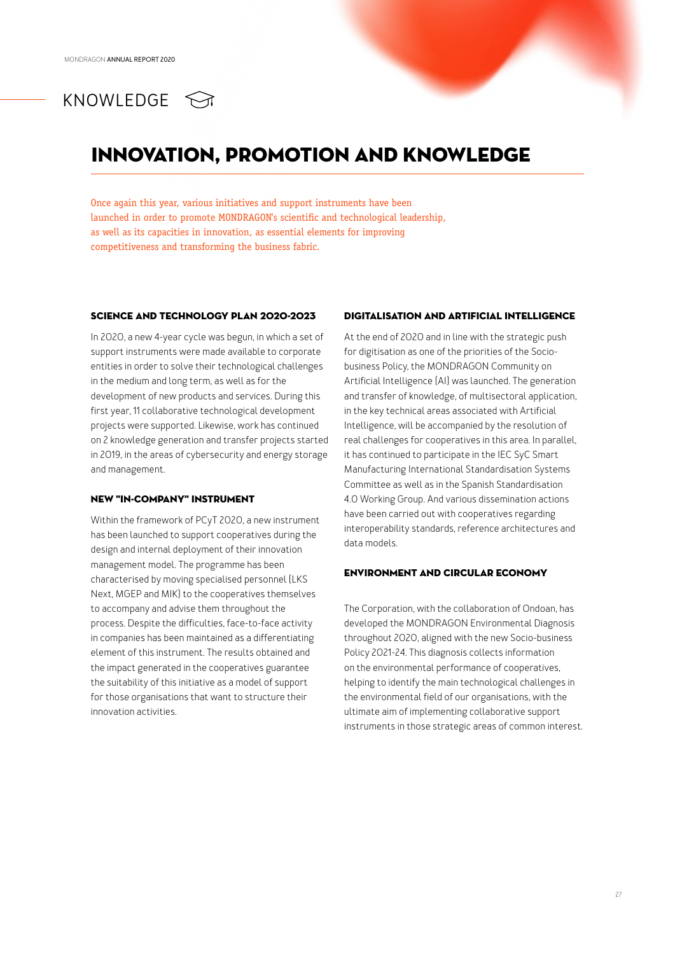## KNOWLEDGE **<m**

## INNOVATION, PROMOTION AND KNOWLEDGE

Once again this year, various initiatives and support instruments have been launched in order to promote MONDRAGON's scientific and technological leadership, as well as its capacities in innovation, as essential elements for improving competitiveness and transforming the business fabric.

#### SCIENCE AND TECHNOLOGY PLAN 2020-2023

In 2020, a new 4-year cycle was begun, in which a set of support instruments were made available to corporate entities in order to solve their technological challenges in the medium and long term, as well as for the development of new products and services. During this first year, 11 collaborative technological development projects were supported. Likewise, work has continued on 2 knowledge generation and transfer projects started in 2019, in the areas of cybersecurity and energy storage and management.

#### NEW "IN-COMPANY" INSTRUMENT

Within the framework of PCyT 2020, a new instrument has been launched to support cooperatives during the design and internal deployment of their innovation management model. The programme has been characterised by moving specialised personnel (LKS Next, MGEP and MIK) to the cooperatives themselves to accompany and advise them throughout the process. Despite the difficulties, face-to-face activity in companies has been maintained as a differentiating element of this instrument. The results obtained and the impact generated in the cooperatives guarantee the suitability of this initiative as a model of support for those organisations that want to structure their innovation activities.

### DIGITALISATION AND ARTIFICIAL INTELLIGENCE

At the end of 2020 and in line with the strategic push for digitisation as one of the priorities of the Sociobusiness Policy, the MONDRAGON Community on Artificial Intelligence (AI) was launched. The generation and transfer of knowledge, of multisectoral application, in the key technical areas associated with Artificial Intelligence, will be accompanied by the resolution of real challenges for cooperatives in this area. In parallel, it has continued to participate in the IEC SyC Smart Manufacturing International Standardisation Systems Committee as well as in the Spanish Standardisation 4.0 Working Group. And various dissemination actions have been carried out with cooperatives regarding interoperability standards, reference architectures and data models.

### ENVIRONMENT AND CIRCULAR ECONOMY

The Corporation, with the collaboration of Ondoan, has developed the MONDRAGON Environmental Diagnosis throughout 2020, aligned with the new Socio-business Policy 2021-24. This diagnosis collects information on the environmental performance of cooperatives, helping to identify the main technological challenges in the environmental field of our organisations, with the ultimate aim of implementing collaborative support instruments in those strategic areas of common interest.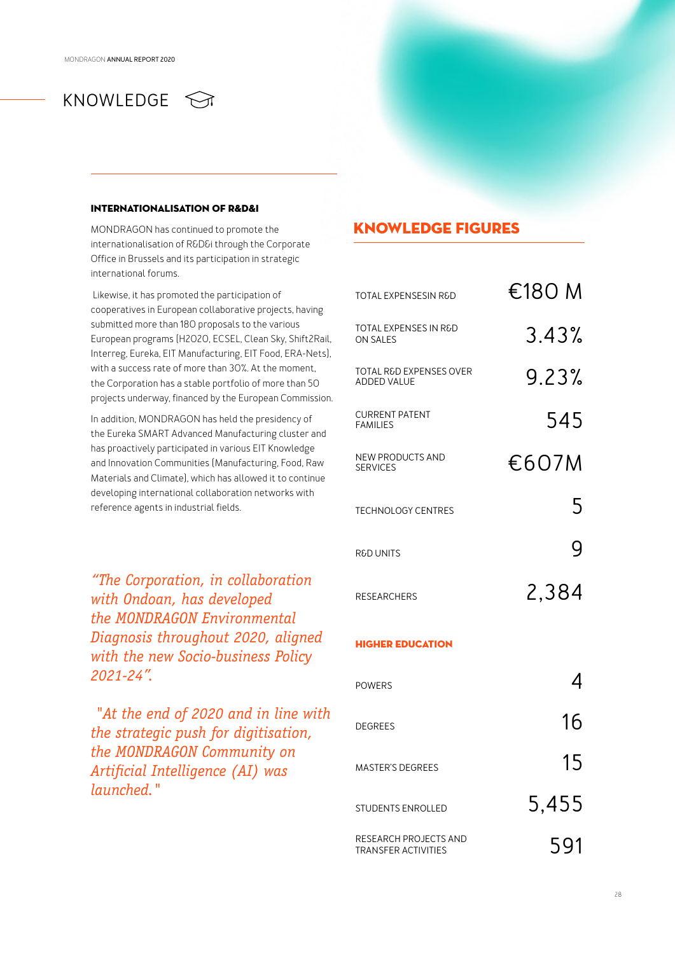### INTEDNATIONAL ISATION OF D&D&I

MONDRAGON has continued to promote the internationalisation of R&D&i through the Corporate Office in Brussels and its participation in strategic international forums.

 Likewise, it has promoted the participation of cooperatives in European collaborative projects, having submitted more than 180 proposals to the various European programs (H2020, ECSEL, Clean Sky, Shift2Rail, Interreg, Eureka, EIT Manufacturing, EIT Food, ERA-Nets), with a success rate of more than 30%. At the moment, the Corporation has a stable portfolio of more than 50 projects underway, financed by the European Commission.

In addition, MONDRAGON has held the presidency of the Eureka SMART Advanced Manufacturing cluster and has proactively participated in various EIT Knowledge and Innovation Communities (Manufacturing, Food, Raw Materials and Climate), which has allowed it to continue developing international collaboration networks with reference agents in industrial fields.

*"The Corporation, in collaboration with Ondoan, has developed the MONDRAGON Environmental Diagnosis throughout 2020, aligned with the new Socio-business Policy 2021-24".*

 *"At the end of 2020 and in line with the strategic push for digitisation, the MONDRAGON Community on Artificial Intelligence (AI) was launched."*

### KNOWLEDGE FIGURES

| <b>TOTAL EXPENSESIN R&amp;D</b>                          | €180 M |
|----------------------------------------------------------|--------|
| TOTAL EXPENSES IN R&D<br><b>ON SALES</b>                 | 3.43%  |
| <b>TOTAL R&amp;D EXPENSES OVER</b><br><b>ADDED VALUE</b> | 9.23%  |
| <b>CURRENT PATENT</b><br><b>FAMILIES</b>                 | 545    |
| NEW PRODUCTS AND<br><b>SERVICES</b>                      | €607M  |
| <b>TECHNOLOGY CENTRES</b>                                | 5      |
| <b>R&amp;D UNITS</b>                                     | g      |
| <b>RESEARCHERS</b>                                       | 2,384  |
| <b>HIGHER EDUCATION</b>                                  |        |
| <b>POWERS</b>                                            |        |
| <b>DEGREES</b>                                           | 16     |
| <b>MASTER'S DEGREES</b>                                  | 15     |

STUDENTS ENROLLED 5,455 RESEARCH PROJECTS AND SEREARCH PROJECTS AND SUMMER SUMMER SO SUMMER SUMMER SUMMER SUMMER SUMMER SUMMER SUMMER SUMME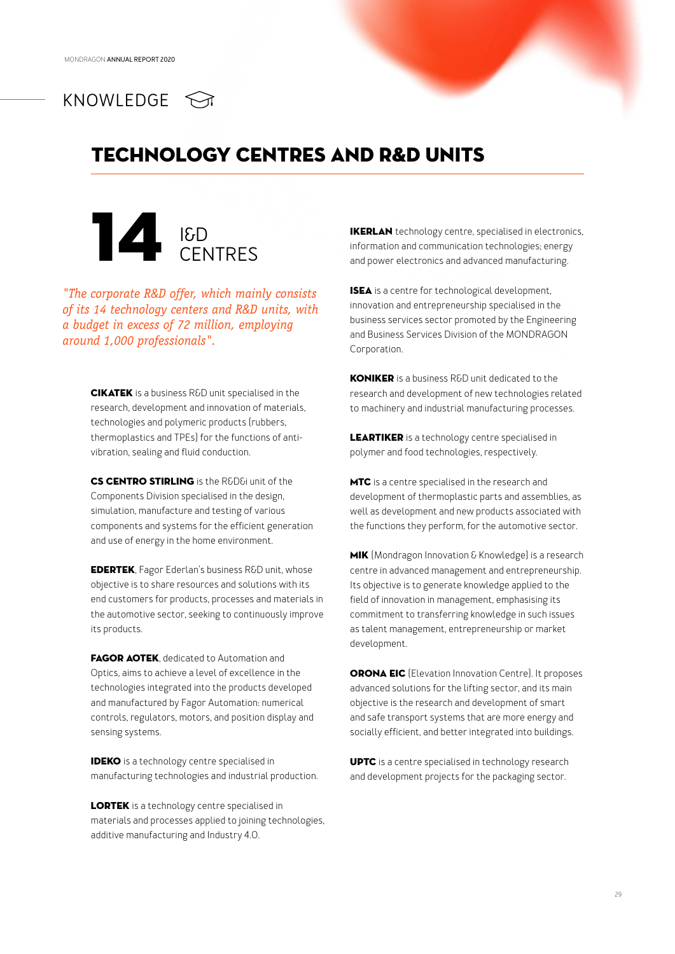

## TECHNOLOGY CENTRES AND R&D UNITS



*"The corporate R&D offer, which mainly consists of its 14 technology centers and R&D units, with a budget in excess of 72 million, employing around 1,000 professionals".*

> CIKATEK is a business R&D unit specialised in the research, development and innovation of materials, technologies and polymeric products (rubbers, thermoplastics and TPEs) for the functions of antivibration, sealing and fluid conduction.

CS CENTRO STIRLING is the R&D&i unit of the Components Division specialised in the design, simulation, manufacture and testing of various components and systems for the efficient generation and use of energy in the home environment.

EDERTEK, Fagor Ederlan's business R&D unit, whose objective is to share resources and solutions with its end customers for products, processes and materials in the automotive sector, seeking to continuously improve its products.

FAGOR AOTEK, dedicated to Automation and Optics, aims to achieve a level of excellence in the technologies integrated into the products developed and manufactured by Fagor Automation: numerical controls, regulators, motors, and position display and sensing systems.

IDEKO is a technology centre specialised in manufacturing technologies and industrial production.

LORTEK is a technology centre specialised in materials and processes applied to joining technologies, additive manufacturing and Industry 4.0.

information and communication technologies; energy and power electronics and advanced manufacturing.

ISEA is a centre for technological development, innovation and entrepreneurship specialised in the business services sector promoted by the Engineering and Business Services Division of the MONDRAGON Corporation.

KONIKER is a business R&D unit dedicated to the research and development of new technologies related to machinery and industrial manufacturing processes.

**LEARTIKER** is a technology centre specialised in polymer and food technologies, respectively.

MTC is a centre specialised in the research and development of thermoplastic parts and assemblies, as well as development and new products associated with the functions they perform, for the automotive sector.

MIK (Mondragon Innovation & Knowledge) is a research centre in advanced management and entrepreneurship. Its objective is to generate knowledge applied to the field of innovation in management, emphasising its commitment to transferring knowledge in such issues as talent management, entrepreneurship or market development.

ORONA EIC (Elevation Innovation Centre). It proposes advanced solutions for the lifting sector, and its main objective is the research and development of smart and safe transport systems that are more energy and socially efficient, and better integrated into buildings.

UPTC is a centre specialised in technology research and development projects for the packaging sector.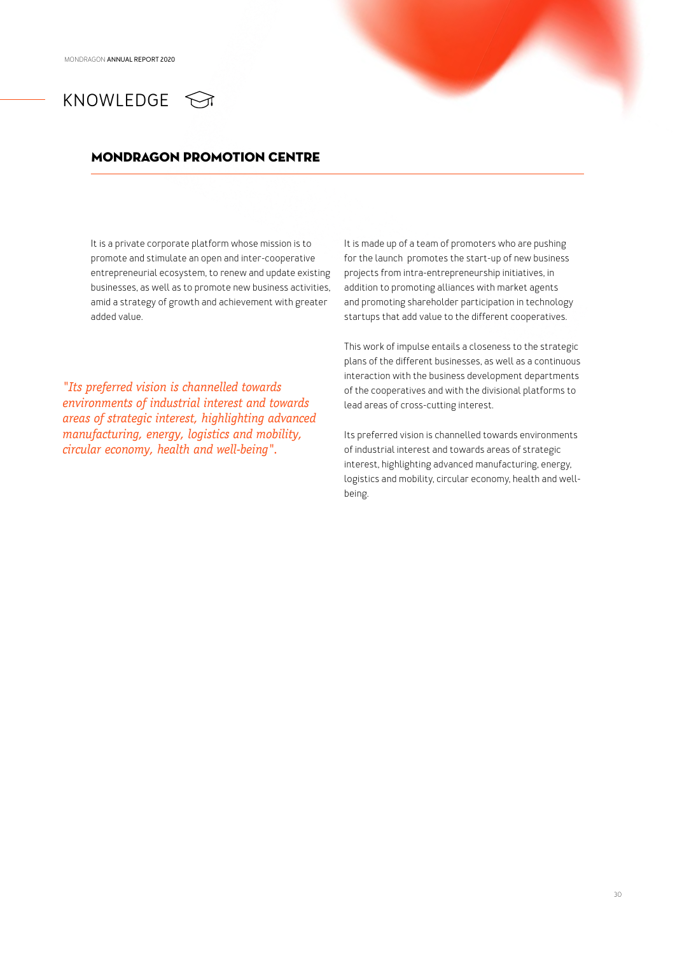## KNOWLEDGE <

### MONDRAGON PROMOTION CENTRE

It is a private corporate platform whose mission is to promote and stimulate an open and inter-cooperative entrepreneurial ecosystem, to renew and update existing businesses, as well as to promote new business activities, amid a strategy of growth and achievement with greater added value.

*"Its preferred vision is channelled towards environments of industrial interest and towards areas of strategic interest, highlighting advanced manufacturing, energy, logistics and mobility, circular economy, health and well-being".*

It is made up of a team of promoters who are pushing for the launch promotes the start-up of new business projects from intra-entrepreneurship initiatives, in addition to promoting alliances with market agents and promoting shareholder participation in technology startups that add value to the different cooperatives.

This work of impulse entails a closeness to the strategic plans of the different businesses, as well as a continuous interaction with the business development departments of the cooperatives and with the divisional platforms to lead areas of cross-cutting interest.

Its preferred vision is channelled towards environments of industrial interest and towards areas of strategic interest, highlighting advanced manufacturing, energy, logistics and mobility, circular economy, health and wellbeing.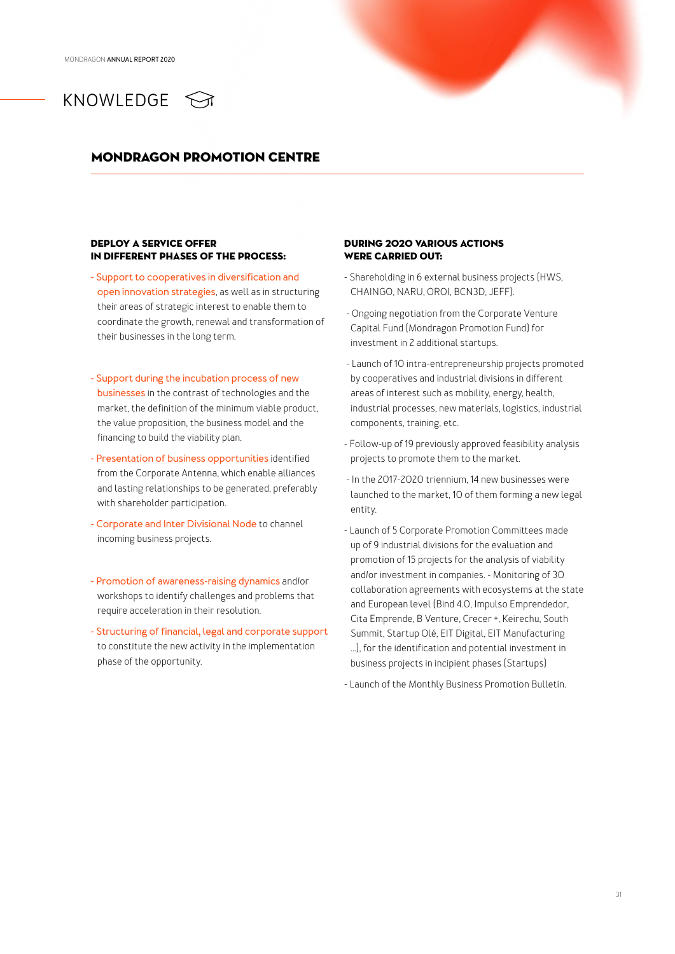## KNOWLEDGE  $\bigcirc$

### MONDRAGON PROMOTION CENTRE

### Deploy a service offer in different phases of the process:

- **- Support to cooperatives in diversification and open innovation strategies**, as well as in structuring their areas of strategic interest to enable them to coordinate the growth, renewal and transformation of their businesses in the long term.
- **- Support during the incubation process of new businesses** in the contrast of technologies and the market, the definition of the minimum viable product, the value proposition, the business model and the financing to build the viability plan.
- **- Presentation of business opportunities** identified from the Corporate Antenna, which enable alliances and lasting relationships to be generated, preferably with shareholder participation.
- **- Corporate and Inter Divisional Node** to channel incoming business projects.
- **- Promotion of awareness-raising dynamics** and/or workshops to identify challenges and problems that require acceleration in their resolution.
- **- Structuring of financial, legal and corporate support** to constitute the new activity in the implementation phase of the opportunity.

### During 2020 various actions were carried out:

- Shareholding in 6 external business projects (HWS, CHAINGO, NARU, OROI, BCN3D, JEFF).
- Ongoing negotiation from the Corporate Venture Capital Fund (Mondragon Promotion Fund) for investment in 2 additional startups.
- Launch of 10 intra-entrepreneurship projects promoted by cooperatives and industrial divisions in different areas of interest such as mobility, energy, health, industrial processes, new materials, logistics, industrial components, training, etc.
- Follow-up of 19 previously approved feasibility analysis projects to promote them to the market.
- In the 2017-2020 triennium, 14 new businesses were launched to the market, 10 of them forming a new legal entity.
- Launch of 5 Corporate Promotion Committees made up of 9 industrial divisions for the evaluation and promotion of 15 projects for the analysis of viability and/or investment in companies. - Monitoring of 30 collaboration agreements with ecosystems at the state and European level (Bind 4.0, Impulso Emprendedor, Cita Emprende, B Venture, Crecer +, Keirechu, South Summit, Startup Olé, EIT Digital, EIT Manufacturing ...), for the identification and potential investment in business projects in incipient phases (Startups)

- Launch of the Monthly Business Promotion Bulletin.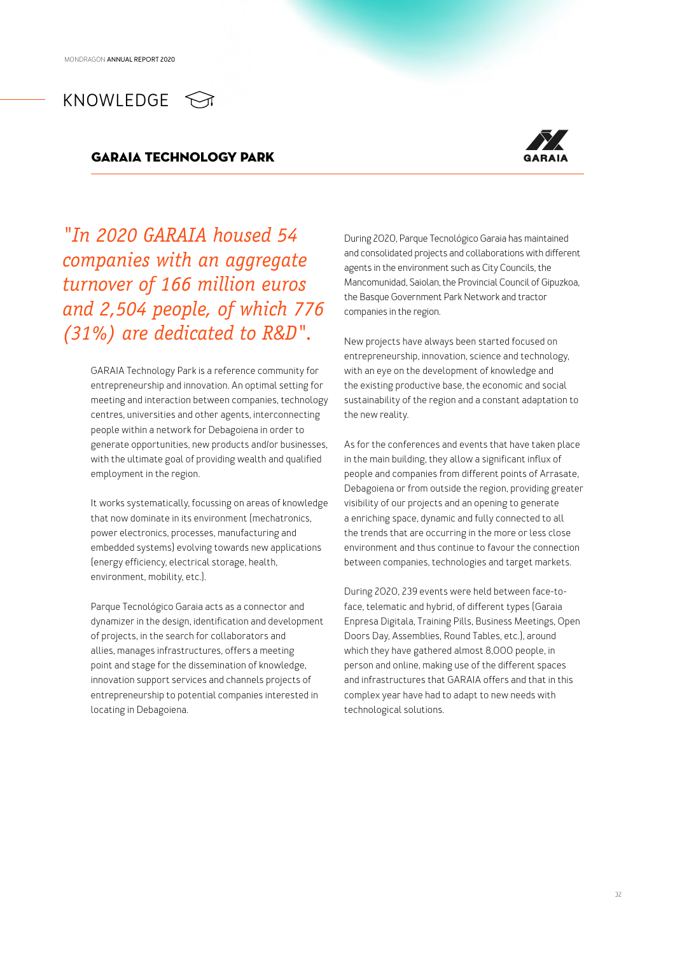### GARAIA TECHNOLOGY PARK



*"In 2020 GARAIA housed 54 companies with an aggregate turnover of 166 million euros and 2,504 people, of which 776 (31%) are dedicated to R&D".*

> GARAIA Technology Park is a reference community for entrepreneurship and innovation. An optimal setting for meeting and interaction between companies, technology centres, universities and other agents, interconnecting people within a network for Debagoiena in order to generate opportunities, new products and/or businesses, with the ultimate goal of providing wealth and qualified employment in the region.

> It works systematically, focussing on areas of knowledge that now dominate in its environment (mechatronics, power electronics, processes, manufacturing and embedded systems) evolving towards new applications (energy efficiency, electrical storage, health, environment, mobility, etc.).

Parque Tecnológico Garaia acts as a connector and dynamizer in the design, identification and development of projects, in the search for collaborators and allies, manages infrastructures, offers a meeting point and stage for the dissemination of knowledge, innovation support services and channels projects of entrepreneurship to potential companies interested in locating in Debagoiena.

During 2020, Parque Tecnológico Garaia has maintained and consolidated projects and collaborations with different agents in the environment such as City Councils, the Mancomunidad, Saiolan, the Provincial Council of Gipuzkoa, the Basque Government Park Network and tractor companies in the region.

New projects have always been started focused on entrepreneurship, innovation, science and technology, with an eye on the development of knowledge and the existing productive base, the economic and social sustainability of the region and a constant adaptation to the new reality.

As for the conferences and events that have taken place in the main building, they allow a significant influx of people and companies from different points of Arrasate, Debagoiena or from outside the region, providing greater visibility of our projects and an opening to generate a enriching space, dynamic and fully connected to all the trends that are occurring in the more or less close environment and thus continue to favour the connection between companies, technologies and target markets.

During 2020, 239 events were held between face-toface, telematic and hybrid, of different types (Garaia Enpresa Digitala, Training Pills, Business Meetings, Open Doors Day, Assemblies, Round Tables, etc.), around which they have gathered almost 8,000 people, in person and online, making use of the different spaces and infrastructures that GARAIA offers and that in this complex year have had to adapt to new needs with technological solutions.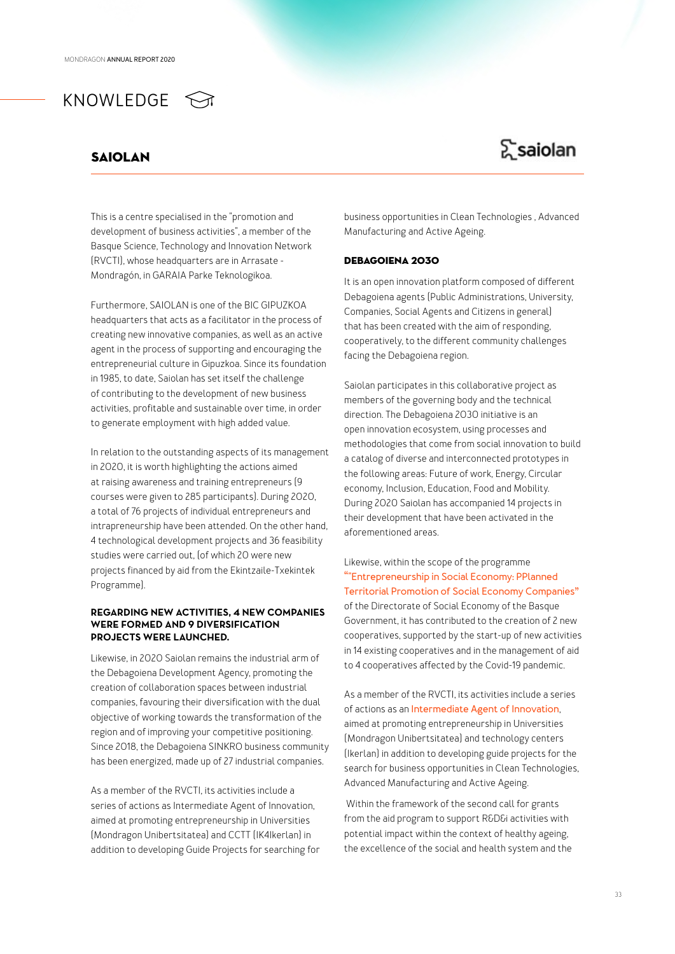### Saiolan

## Σsaiolan

This is a centre specialised in the "promotion and development of business activities", a member of the Basque Science, Technology and Innovation Network (RVCTI), whose headquarters are in Arrasate - Mondragón, in GARAIA Parke Teknologikoa.

Furthermore, SAIOLAN is one of the BIC GIPUZKOA headquarters that acts as a facilitator in the process of creating new innovative companies, as well as an active agent in the process of supporting and encouraging the entrepreneurial culture in Gipuzkoa. Since its foundation in 1985, to date, Saiolan has set itself the challenge of contributing to the development of new business activities, profitable and sustainable over time, in order to generate employment with high added value.

In relation to the outstanding aspects of its management in 2020, it is worth highlighting the actions aimed at raising awareness and training entrepreneurs (9 courses were given to 285 participants). During 2020, a total of 76 projects of individual entrepreneurs and intrapreneurship have been attended. On the other hand, 4 technological development projects and 36 feasibility studies were carried out, (of which 20 were new projects financed by aid from the Ekintzaile-Txekintek Programme).

### **REGARDING NEW ACTIVITIES, 4 NEW COMPANIES WERE FORMED AND 9 DIVERSIFICATION PROJECTS WERE LAUNCHED.**

Likewise, in 2020 Saiolan remains the industrial arm of the Debagoiena Development Agency, promoting the creation of collaboration spaces between industrial companies, favouring their diversification with the dual objective of working towards the transformation of the region and of improving your competitive positioning. Since 2018, the Debagoiena SINKRO business community has been energized, made up of 27 industrial companies.

As a member of the RVCTI, its activities include a series of actions as Intermediate Agent of Innovation, aimed at promoting entrepreneurship in Universities (Mondragon Unibertsitatea) and CCTT (IK4Ikerlan) in addition to developing Guide Projects for searching for business opportunities in Clean Technologies , Advanced Manufacturing and Active Ageing.

### Debagoiena 2030

It is an open innovation platform composed of different Debagoiena agents (Public Administrations, University, Companies, Social Agents and Citizens in general) that has been created with the aim of responding, cooperatively, to the different community challenges facing the Debagoiena region.

Saiolan participates in this collaborative project as members of the governing body and the technical direction. The Debagoiena 2030 initiative is an open innovation ecosystem, using processes and methodologies that come from social innovation to build a catalog of diverse and interconnected prototypes in the following areas: Future of work, Energy, Circular economy, Inclusion, Education, Food and Mobility. During 2020 Saiolan has accompanied 14 projects in their development that have been activated in the aforementioned areas.

Likewise, within the scope of the programme **""Entrepreneurship in Social Economy: PPlanned Territorial Promotion of Social Economy Companies"** of the Directorate of Social Economy of the Basque Government, it has contributed to the creation of 2 new cooperatives, supported by the start-up of new activities in 14 existing cooperatives and in the management of aid to 4 cooperatives affected by the Covid-19 pandemic.

As a member of the RVCTI, its activities include a series of actions as an **Intermediate Agent of Innovation**, aimed at promoting entrepreneurship in Universities (Mondragon Unibertsitatea) and technology centers (Ikerlan) in addition to developing guide projects for the search for business opportunities in Clean Technologies, Advanced Manufacturing and Active Ageing.

 Within the framework of the second call for grants from the aid program to support R&D&i activities with potential impact within the context of healthy ageing, the excellence of the social and health system and the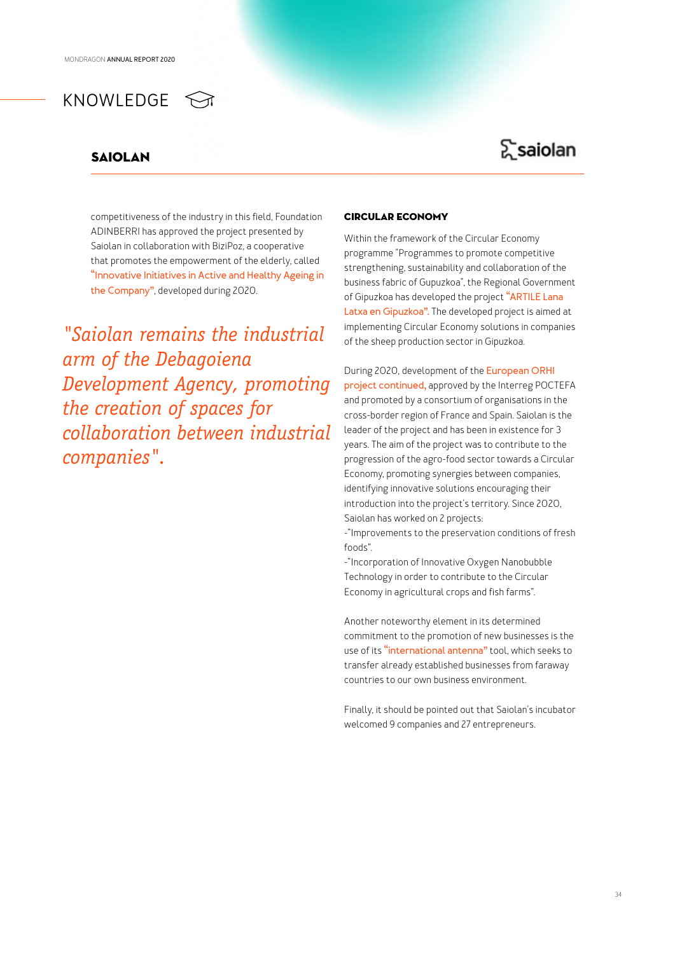### Saiolan

## Σsaiolan

competitiveness of the industry in this field, Foundation ADINBERRI has approved the project presented by Saiolan in collaboration with BiziPoz, a cooperative that promotes the empowerment of the elderly, called **"Innovative Initiatives in Active and Healthy Ageing in the Company"**, developed during 2020.

*"Saiolan remains the industrial arm of the Debagoiena Development Agency, promoting the creation of spaces for collaboration between industrial companies".*

### circular economy

Within the framework of the Circular Economy programme "Programmes to promote competitive strengthening, sustainability and collaboration of the business fabric of Gupuzkoa", the Regional Government of Gipuzkoa has developed the project **"ARTILE Lana Latxa en Gipuzkoa".** The developed project is aimed at implementing Circular Economy solutions in companies of the sheep production sector in Gipuzkoa.

During 2020, development of the **European ORHI project continued,** approved by the Interreg POCTEFA and promoted by a consortium of organisations in the cross-border region of France and Spain. Saiolan is the leader of the project and has been in existence for 3 years. The aim of the project was to contribute to the progression of the agro-food sector towards a Circular Economy, promoting synergies between companies, identifying innovative solutions encouraging their introduction into the project's territory. Since 2020, Saiolan has worked on 2 projects:

-"Improvements to the preservation conditions of fresh foods".

-"Incorporation of Innovative Oxygen Nanobubble Technology in order to contribute to the Circular Economy in agricultural crops and fish farms".

Another noteworthy element in its determined commitment to the promotion of new businesses is the use of its **"international antenna"** tool, which seeks to transfer already established businesses from faraway countries to our own business environment.

Finally, it should be pointed out that Saiolan's incubator welcomed 9 companies and 27 entrepreneurs.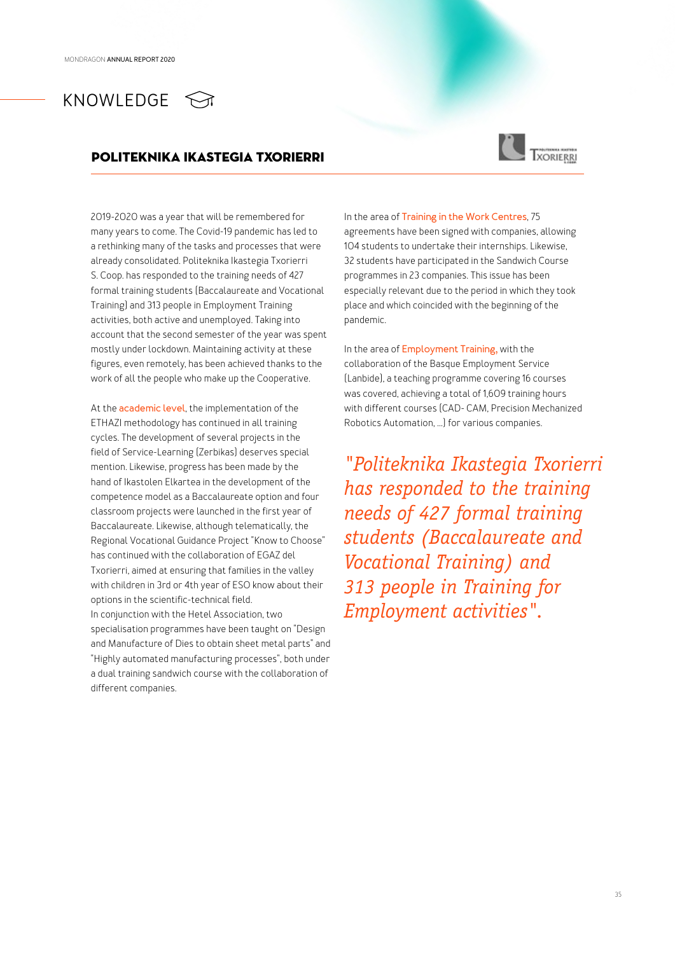### POLITEKNIKA IKASTEGIA TXORIERRI



2019-2020 was a year that will be remembered for many years to come. The Covid-19 pandemic has led to a rethinking many of the tasks and processes that were already consolidated. Politeknika Ikastegia Txorierri S. Coop. has responded to the training needs of 427 formal training students (Baccalaureate and Vocational Training) and 313 people in Employment Training activities, both active and unemployed. Taking into account that the second semester of the year was spent mostly under lockdown. Maintaining activity at these figures, even remotely, has been achieved thanks to the work of all the people who make up the Cooperative.

At the **academic level**, the implementation of the ETHAZI methodology has continued in all training cycles. The development of several projects in the field of Service-Learning (Zerbikas) deserves special mention. Likewise, progress has been made by the hand of Ikastolen Elkartea in the development of the competence model as a Baccalaureate option and four classroom projects were launched in the first year of Baccalaureate. Likewise, although telematically, the Regional Vocational Guidance Project "Know to Choose" has continued with the collaboration of EGAZ del Txorierri, aimed at ensuring that families in the valley with children in 3rd or 4th year of ESO know about their options in the scientific-technical field. In conjunction with the Hetel Association, two specialisation programmes have been taught on "Design and Manufacture of Dies to obtain sheet metal parts" and "Highly automated manufacturing processes", both under a dual training sandwich course with the collaboration of different companies.

In the area of **Training in the Work Centres**, 75 agreements have been signed with companies, allowing 104 students to undertake their internships. Likewise, 32 students have participated in the Sandwich Course programmes in 23 companies. This issue has been especially relevant due to the period in which they took place and which coincided with the beginning of the pandemic.

In the area of **Employment Training,** with the collaboration of the Basque Employment Service (Lanbide), a teaching programme covering 16 courses was covered, achieving a total of 1,609 training hours with different courses (CAD- CAM, Precision Mechanized Robotics Automation, ...) for various companies.

*"Politeknika Ikastegia Txorierri has responded to the training needs of 427 formal training students (Baccalaureate and Vocational Training) and 313 people in Training for Employment activities".*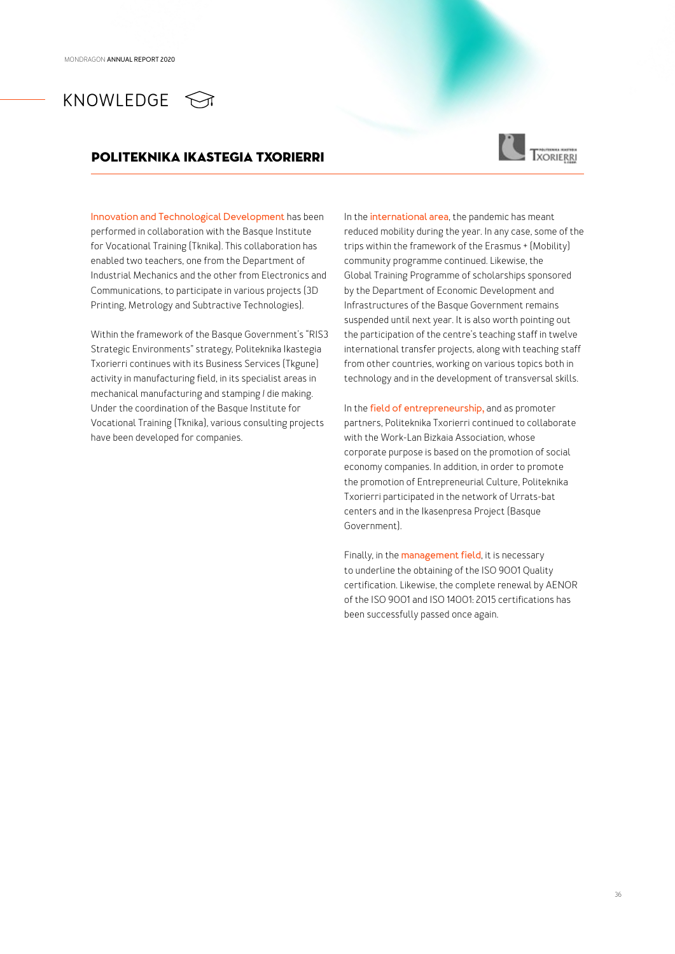## KNOWLEDGE **M**

### POLITEKNIKA IKASTEGIA TXORIERRI



**Innovation and Technological Development** has been performed in collaboration with the Basque Institute for Vocational Training (Tknika). This collaboration has enabled two teachers, one from the Department of Industrial Mechanics and the other from Electronics and Communications, to participate in various projects (3D Printing, Metrology and Subtractive Technologies).

Within the framework of the Basque Government's "RIS3 Strategic Environments" strategy, Politeknika Ikastegia Txorierri continues with its Business Services (Tkgune) activity in manufacturing field, in its specialist areas in mechanical manufacturing and stamping / die making. Under the coordination of the Basque Institute for Vocational Training (Tknika), various consulting projects have been developed for companies.

In the **international area**, the pandemic has meant reduced mobility during the year. In any case, some of the trips within the framework of the Erasmus + (Mobility) community programme continued. Likewise, the Global Training Programme of scholarships sponsored by the Department of Economic Development and Infrastructures of the Basque Government remains suspended until next year. It is also worth pointing out the participation of the centre's teaching staff in twelve international transfer projects, along with teaching staff from other countries, working on various topics both in technology and in the development of transversal skills.

In the **field of entrepreneurship,** and as promoter partners, Politeknika Txorierri continued to collaborate with the Work-Lan Bizkaia Association, whose corporate purpose is based on the promotion of social economy companies. In addition, in order to promote the promotion of Entrepreneurial Culture, Politeknika Txorierri participated in the network of Urrats-bat centers and in the Ikasenpresa Project (Basque Government).

Finally, in the **management field**, it is necessary to underline the obtaining of the ISO 9001 Quality certification. Likewise, the complete renewal by AENOR of the ISO 9001 and ISO 14001: 2015 certifications has been successfully passed once again.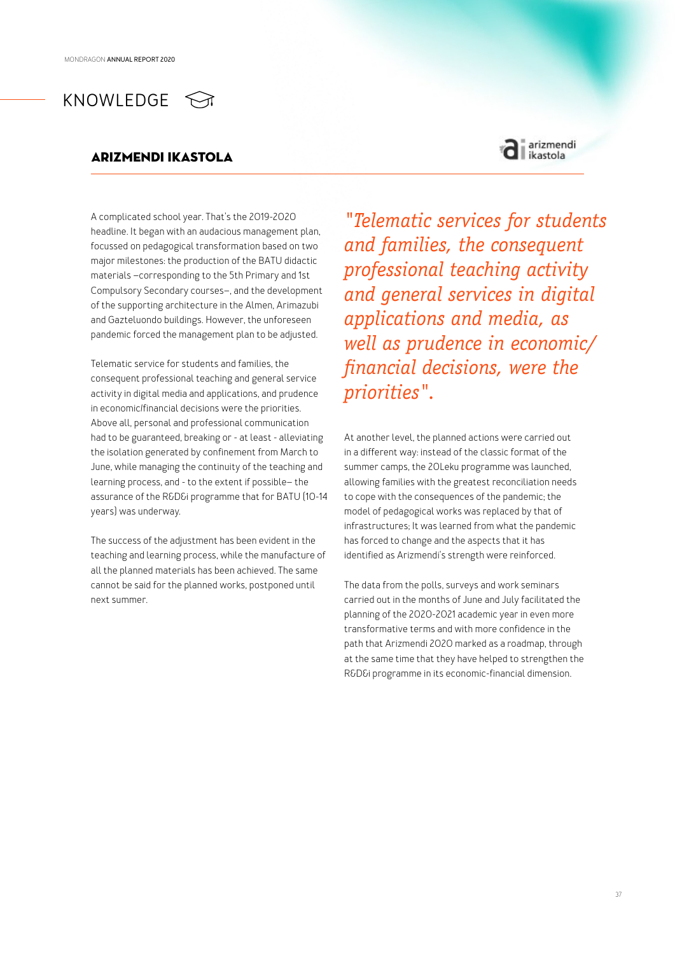### arizmendi ikastola



A complicated school year. That's the 2019-2020 headline. It began with an audacious management plan, focussed on pedagogical transformation based on two major milestones: the production of the BATU didactic materials –corresponding to the 5th Primary and 1st Compulsory Secondary courses–, and the development of the supporting architecture in the Almen, Arimazubi and Gazteluondo buildings. However, the unforeseen pandemic forced the management plan to be adjusted.

Telematic service for students and families, the consequent professional teaching and general service activity in digital media and applications, and prudence in economic/financial decisions were the priorities. Above all, personal and professional communication had to be guaranteed, breaking or - at least - alleviating the isolation generated by confinement from March to June, while managing the continuity of the teaching and learning process, and - to the extent if possible– the assurance of the R&D&i programme that for BATU (10-14 years) was underway.

The success of the adjustment has been evident in the teaching and learning process, while the manufacture of all the planned materials has been achieved. The same cannot be said for the planned works, postponed until next summer.

*"Telematic services for students and families, the consequent professional teaching activity and general services in digital applications and media, as well as prudence in economic/ financial decisions, were the priorities".*

At another level, the planned actions were carried out in a different way: instead of the classic format of the summer camps, the 20Leku programme was launched, allowing families with the greatest reconciliation needs to cope with the consequences of the pandemic; the model of pedagogical works was replaced by that of infrastructures; It was learned from what the pandemic has forced to change and the aspects that it has identified as Arizmendi's strength were reinforced.

The data from the polls, surveys and work seminars carried out in the months of June and July facilitated the planning of the 2020-2021 academic year in even more transformative terms and with more confidence in the path that Arizmendi 2020 marked as a roadmap, through at the same time that they have helped to strengthen the R&D&i programme in its economic-financial dimension.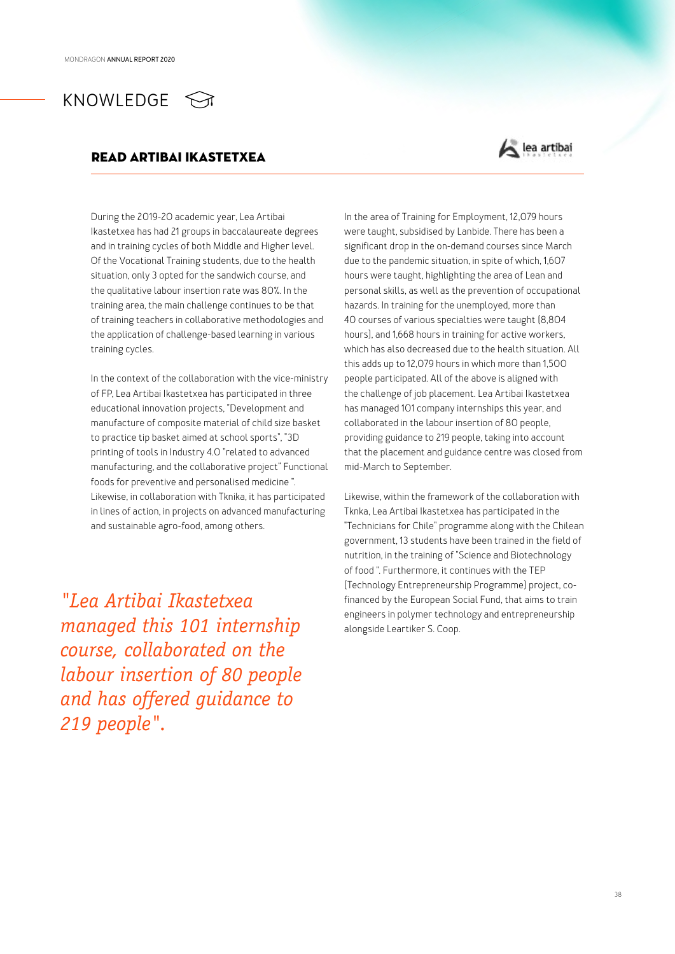## KNOWLEDGE <

### READ ARTIBAI IKASTETXEA



During the 2019-20 academic year, Lea Artibai Ikastetxea has had 21 groups in baccalaureate degrees and in training cycles of both Middle and Higher level. Of the Vocational Training students, due to the health situation, only 3 opted for the sandwich course, and the qualitative labour insertion rate was 80%. In the training area, the main challenge continues to be that of training teachers in collaborative methodologies and the application of challenge-based learning in various training cycles.

In the context of the collaboration with the vice-ministry of FP, Lea Artibai Ikastetxea has participated in three educational innovation projects, "Development and manufacture of composite material of child size basket to practice tip basket aimed at school sports", "3D printing of tools in Industry 4.0 "related to advanced manufacturing, and the collaborative project" Functional foods for preventive and personalised medicine ". Likewise, in collaboration with Tknika, it has participated in lines of action, in projects on advanced manufacturing and sustainable agro-food, among others.

*"Lea Artibai Ikastetxea managed this 101 internship course, collaborated on the labour insertion of 80 people and has offered guidance to 219 people".*

In the area of Training for Employment, 12,079 hours were taught, subsidised by Lanbide. There has been a significant drop in the on-demand courses since March due to the pandemic situation, in spite of which, 1,607 hours were taught, highlighting the area of Lean and personal skills, as well as the prevention of occupational hazards. In training for the unemployed, more than 40 courses of various specialties were taught (8,804 hours), and 1,668 hours in training for active workers, which has also decreased due to the health situation. All this adds up to 12,079 hours in which more than 1,500 people participated. All of the above is aligned with the challenge of job placement. Lea Artibai Ikastetxea has managed 101 company internships this year, and collaborated in the labour insertion of 80 people, providing guidance to 219 people, taking into account that the placement and guidance centre was closed from mid-March to September.

Likewise, within the framework of the collaboration with Tknka, Lea Artibai Ikastetxea has participated in the "Technicians for Chile" programme along with the Chilean government, 13 students have been trained in the field of nutrition, in the training of "Science and Biotechnology of food ". Furthermore, it continues with the TEP (Technology Entrepreneurship Programme) project, cofinanced by the European Social Fund, that aims to train engineers in polymer technology and entrepreneurship alongside Leartiker S. Coop.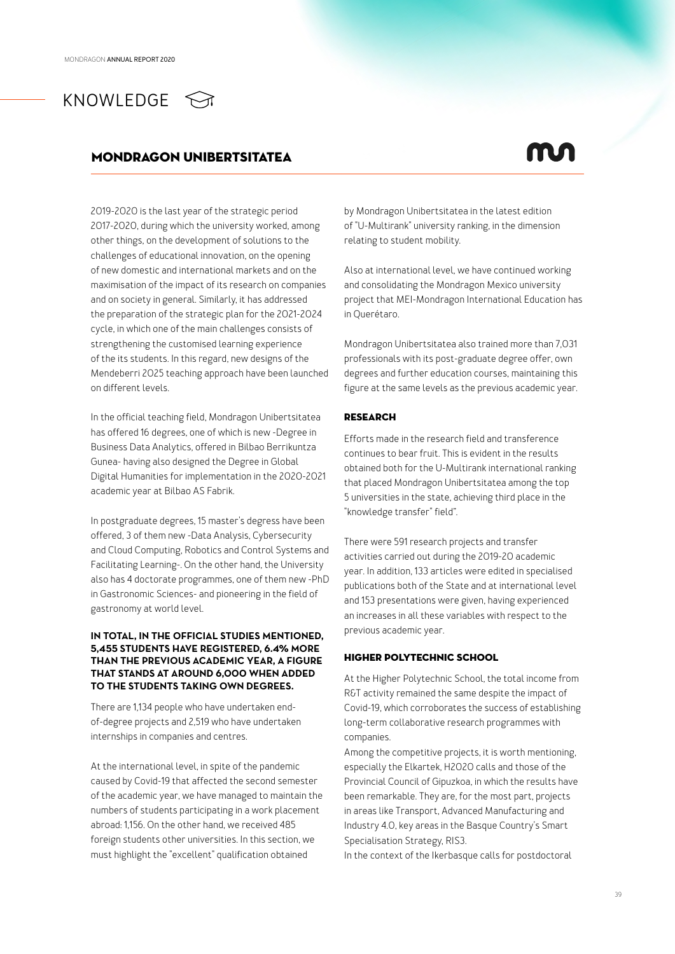## KNOWLEDGE  $\leq$

### mondragon unibertsitatea

2019-2020 is the last year of the strategic period 2017-2020, during which the university worked, among other things, on the development of solutions to the challenges of educational innovation, on the opening of new domestic and international markets and on the maximisation of the impact of its research on companies and on society in general. Similarly, it has addressed the preparation of the strategic plan for the 2021-2024 cycle, in which one of the main challenges consists of strengthening the customised learning experience of the its students. In this regard, new designs of the Mendeberri 2025 teaching approach have been launched on different levels.

In the official teaching field, Mondragon Unibertsitatea has offered 16 degrees, one of which is new -Degree in Business Data Analytics, offered in Bilbao Berrikuntza Gunea- having also designed the Degree in Global Digital Humanities for implementation in the 2020-2021 academic year at Bilbao AS Fabrik.

In postgraduate degrees, 15 master's degress have been offered, 3 of them new -Data Analysis, Cybersecurity and Cloud Computing, Robotics and Control Systems and Facilitating Learning-. On the other hand, the University also has 4 doctorate programmes, one of them new -PhD in Gastronomic Sciences- and pioneering in the field of gastronomy at world level.

### **IN TOTAL, IN THE OFFICIAL STUDIES MENTIONED, 5,455 STUDENTS HAVE REGISTERED, 6.4% MORE THAN THE PREVIOUS ACADEMIC YEAR, A FIGURE THAT STANDS AT AROUND 6,000 WHEN ADDED TO THE STUDENTS TAKING OWN DEGREES.**

There are 1,134 people who have undertaken endof-degree projects and 2,519 who have undertaken internships in companies and centres.

At the international level, in spite of the pandemic caused by Covid-19 that affected the second semester of the academic year, we have managed to maintain the numbers of students participating in a work placement abroad: 1,156. On the other hand, we received 485 foreign students other universities. In this section, we must highlight the "excellent" qualification obtained

by Mondragon Unibertsitatea in the latest edition of "U-Multirank" university ranking, in the dimension relating to student mobility.

Also at international level, we have continued working and consolidating the Mondragon Mexico university project that MEI-Mondragon International Education has in Querétaro.

Mondragon Unibertsitatea also trained more than 7,031 professionals with its post-graduate degree offer, own degrees and further education courses, maintaining this figure at the same levels as the previous academic year.

### **RESEARCH**

Efforts made in the research field and transference continues to bear fruit. This is evident in the results obtained both for the U-Multirank international ranking that placed Mondragon Unibertsitatea among the top 5 universities in the state, achieving third place in the "knowledge transfer" field".

There were 591 research projects and transfer activities carried out during the 2019-20 academic year. In addition, 133 articles were edited in specialised publications both of the State and at international level and 153 presentations were given, having experienced an increases in all these variables with respect to the previous academic year.

### Higher Polytechnic School

At the Higher Polytechnic School, the total income from R&T activity remained the same despite the impact of Covid-19, which corroborates the success of establishing long-term collaborative research programmes with companies.

Among the competitive projects, it is worth mentioning, especially the Elkartek, H2020 calls and those of the Provincial Council of Gipuzkoa, in which the results have been remarkable. They are, for the most part, projects in areas like Transport, Advanced Manufacturing and Industry 4.0, key areas in the Basque Country's Smart Specialisation Strategy, RIS3.

In the context of the Ikerbasque calls for postdoctoral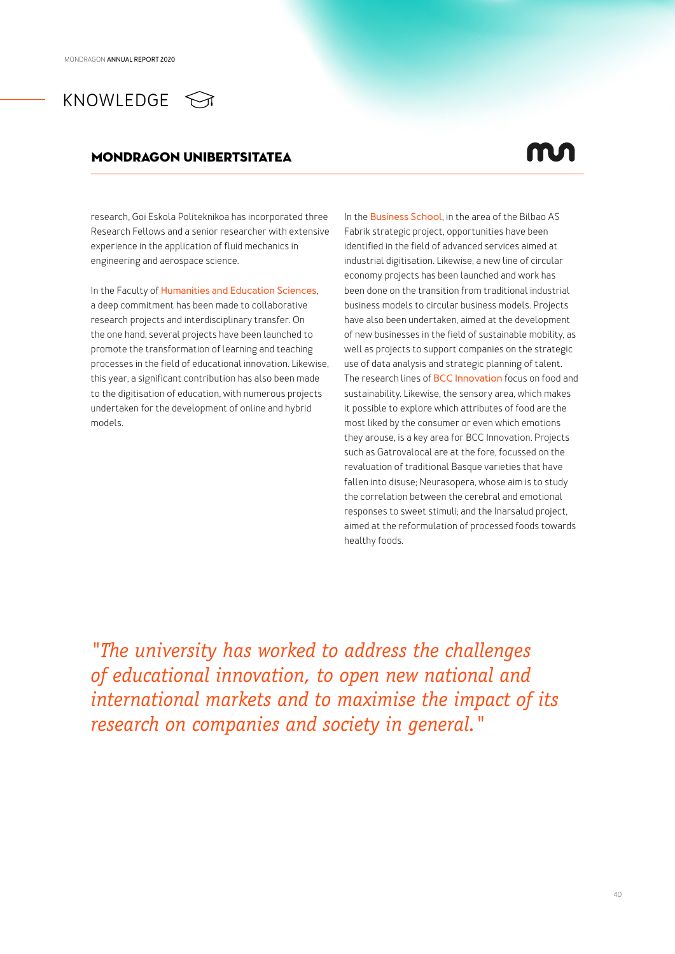## KNOWLEDGE <>

### mondragon unibertsitatea

research, Goi Eskola Politeknikoa has incorporated three Research Fellows and a senior researcher with extensive experience in the application of fluid mechanics in engineering and aerospace science.

In the Faculty of **Humanities and Education Sciences**, a deep commitment has been made to collaborative research projects and interdisciplinary transfer. On the one hand, several projects have been launched to promote the transformation of learning and teaching processes in the field of educational innovation. Likewise, this year, a significant contribution has also been made to the digitisation of education, with numerous projects undertaken for the development of online and hybrid models.

In the **Business School**, in the area of the Bilbao AS Fabrik strategic project, opportunities have been identified in the field of advanced services aimed at industrial digitisation. Likewise, a new line of circular economy projects has been launched and work has been done on the transition from traditional industrial business models to circular business models. Projects have also been undertaken, aimed at the development of new businesses in the field of sustainable mobility, as well as projects to support companies on the strategic use of data analysis and strategic planning of talent. The research lines of **BCC Innovation** focus on food and sustainability. Likewise, the sensory area, which makes it possible to explore which attributes of food are the most liked by the consumer or even which emotions they arouse, is a key area for BCC Innovation. Projects such as Gatrovalocal are at the fore, focussed on the revaluation of traditional Basque varieties that have fallen into disuse; Neurasopera, whose aim is to study the correlation between the cerebral and emotional responses to sweet stimuli; and the Inarsalud project, aimed at the reformulation of processed foods towards healthy foods.

*"The university has worked to address the challenges of educational innovation, to open new national and international markets and to maximise the impact of its research on companies and society in general."*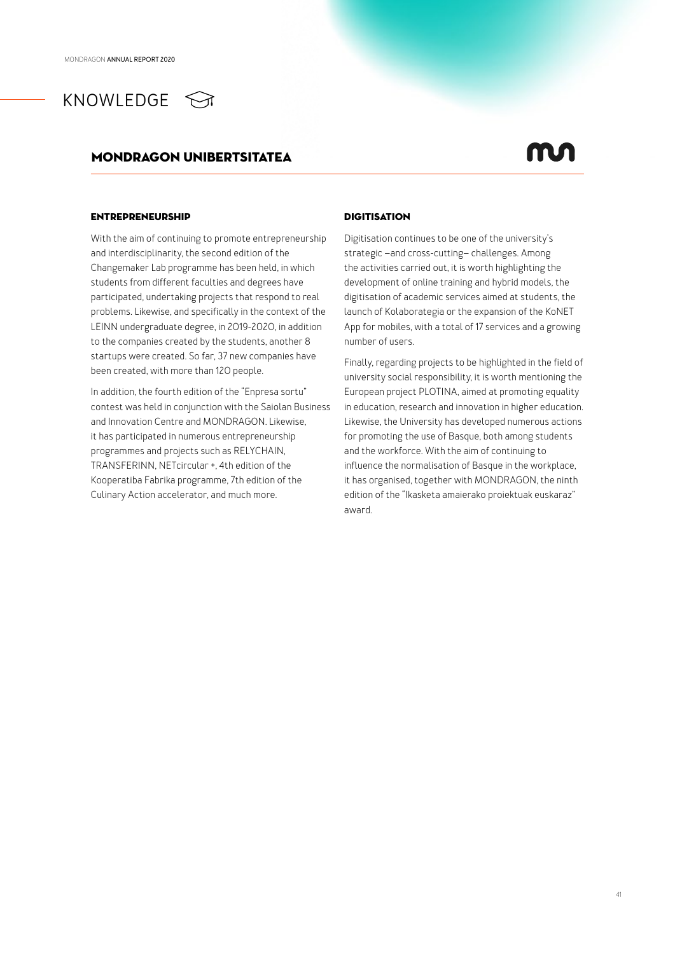

### mondragon unibertsitatea

### Entrepreneurship

With the aim of continuing to promote entrepreneurship and interdisciplinarity, the second edition of the Changemaker Lab programme has been held, in which students from different faculties and degrees have participated, undertaking projects that respond to real problems. Likewise, and specifically in the context of the LEINN undergraduate degree, in 2019-2020, in addition to the companies created by the students, another 8 startups were created. So far, 37 new companies have been created, with more than 120 people.

In addition, the fourth edition of the "Enpresa sortu" contest was held in conjunction with the Saiolan Business and Innovation Centre and MONDRAGON. Likewise, it has participated in numerous entrepreneurship programmes and projects such as RELYCHAIN, TRANSFERINN, NETcircular +, 4th edition of the Kooperatiba Fabrika programme, 7th edition of the Culinary Action accelerator, and much more.

### **DIGITISATION**

Digitisation continues to be one of the university's strategic –and cross-cutting– challenges. Among the activities carried out, it is worth highlighting the development of online training and hybrid models, the digitisation of academic services aimed at students, the launch of Kolaborategia or the expansion of the KoNET App for mobiles, with a total of 17 services and a growing number of users.

Finally, regarding projects to be highlighted in the field of university social responsibility, it is worth mentioning the European project PLOTINA, aimed at promoting equality in education, research and innovation in higher education. Likewise, the University has developed numerous actions for promoting the use of Basque, both among students and the workforce. With the aim of continuing to influence the normalisation of Basque in the workplace, it has organised, together with MONDRAGON, the ninth edition of the "Ikasketa amaierako proiektuak euskaraz" award.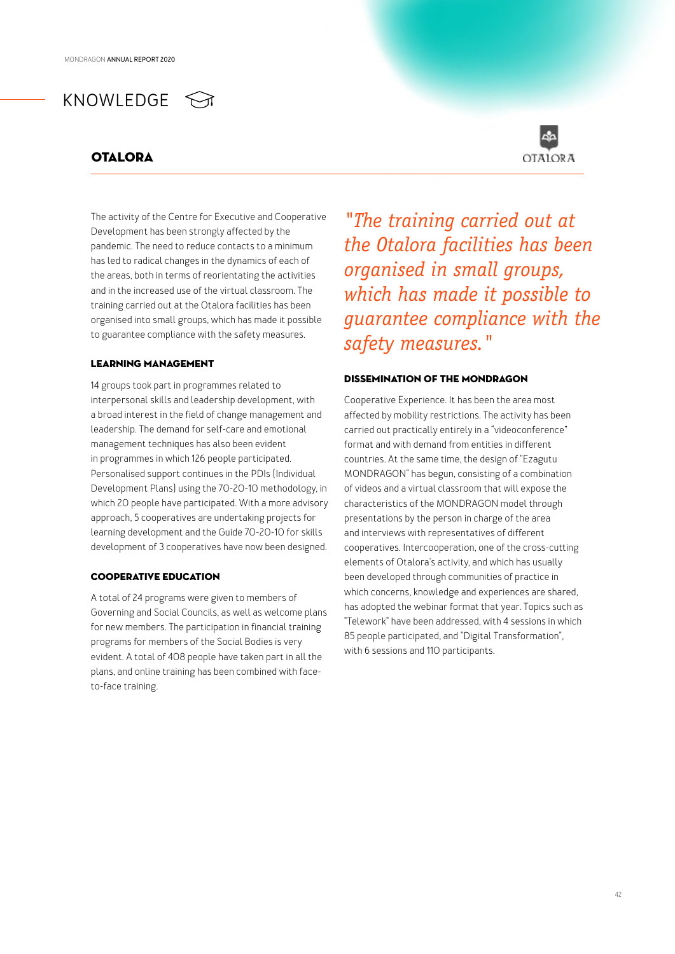### **OTALORA**



The activity of the Centre for Executive and Cooperative Development has been strongly affected by the pandemic. The need to reduce contacts to a minimum has led to radical changes in the dynamics of each of the areas, both in terms of reorientating the activities and in the increased use of the virtual classroom. The training carried out at the Otalora facilities has been organised into small groups, which has made it possible to guarantee compliance with the safety measures.

### LEARNING management

14 groups took part in programmes related to interpersonal skills and leadership development, with a broad interest in the field of change management and leadership. The demand for self-care and emotional management techniques has also been evident in programmes in which 126 people participated. Personalised support continues in the PDIs (Individual Development Plans) using the 70-20-10 methodology, in which 20 people have participated. With a more advisory approach, 5 cooperatives are undertaking projects for learning development and the Guide 70-20-10 for skills development of 3 cooperatives have now been designed.

### Cooperative EDUCATION

A total of 24 programs were given to members of Governing and Social Councils, as well as welcome plans for new members. The participation in financial training programs for members of the Social Bodies is very evident. A total of 408 people have taken part in all the plans, and online training has been combined with faceto-face training.

*"The training carried out at the Otalora facilities has been organised in small groups, which has made it possible to guarantee compliance with the safety measures."*

### Dissemination of the MONDRAGON

Cooperative Experience. It has been the area most affected by mobility restrictions. The activity has been carried out practically entirely in a "videoconference" format and with demand from entities in different countries. At the same time, the design of "Ezagutu MONDRAGON" has begun, consisting of a combination of videos and a virtual classroom that will expose the characteristics of the MONDRAGON model through presentations by the person in charge of the area and interviews with representatives of different cooperatives. Intercooperation, one of the cross-cutting elements of Otalora's activity, and which has usually been developed through communities of practice in which concerns, knowledge and experiences are shared, has adopted the webinar format that year. Topics such as "Telework" have been addressed, with 4 sessions in which 85 people participated, and "Digital Transformation", with 6 sessions and 110 participants.